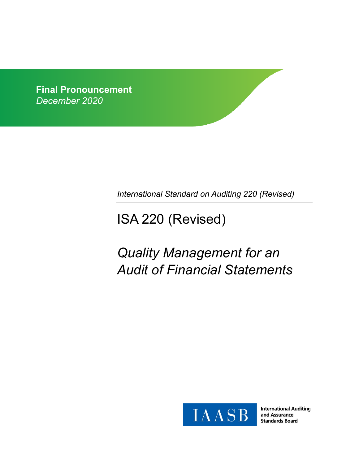**Final Pronouncement** *December 2020*

*International Standard on Auditing 220 (Revised)*

# ISA 220 (Revised)

# *Quality Management for an Audit of Financial Statements*



**International Auditing** and Assurance **Standards Board**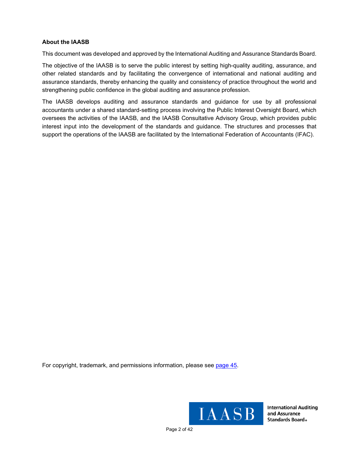## **About the IAASB**

This document was developed and approved by the International Auditing and Assurance Standards Board.

The objective of the IAASB is to serve the public interest by setting high-quality auditing, assurance, and other related standards and by facilitating the convergence of international and national auditing and assurance standards, thereby enhancing the quality and consistency of practice throughout the world and strengthening public confidence in the global auditing and assurance profession.

The IAASB develops auditing and assurance standards and guidance for use by all professional accountants under a shared standard-setting process involving the Public Interest Oversight Board, which oversees the activities of the IAASB, and the IAASB Consultative Advisory Group, which provides public interest input into the development of the standards and guidance. The structures and processes that support the operations of the IAASB are facilitated by the International Federation of Accountants (IFAC).

For copyright, trademark, and permissions information, please see [page](#page-40-0) 45.



**International Auditing** and Assurance **Standards Board**®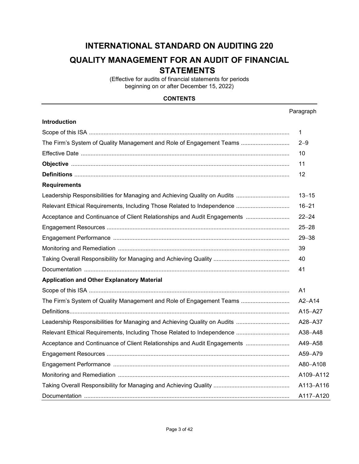## **INTERNATIONAL STANDARD ON AUDITING 220 QUALITY MANAGEMENT FOR AN AUDIT OF FINANCIAL**

## **STATEMENTS**

(Effective for audits of financial statements for periods beginning on or after December 15, 2022)

## **CONTENTS**

|                                                                          | Paragraph      |
|--------------------------------------------------------------------------|----------------|
| <b>Introduction</b>                                                      |                |
|                                                                          | 1              |
| The Firm's System of Quality Management and Role of Engagement Teams     | $2 - 9$        |
|                                                                          | 10             |
|                                                                          | 11             |
|                                                                          | 12             |
| <b>Requirements</b>                                                      |                |
|                                                                          | $13 - 15$      |
|                                                                          | $16 - 21$      |
| Acceptance and Continuance of Client Relationships and Audit Engagements | $22 - 24$      |
|                                                                          | $25 - 28$      |
|                                                                          | $29 - 38$      |
|                                                                          | 39             |
|                                                                          | 40             |
|                                                                          | 41             |
| <b>Application and Other Explanatory Material</b>                        |                |
|                                                                          | A <sub>1</sub> |
| The Firm's System of Quality Management and Role of Engagement Teams     | $A2 - A14$     |
|                                                                          | A15-A27        |
|                                                                          | A28-A37        |
|                                                                          | A38-A48        |
| Acceptance and Continuance of Client Relationships and Audit Engagements | A49-A58        |
|                                                                          | A59-A79        |
|                                                                          | A80-A108       |
|                                                                          | A109-A112      |
|                                                                          | A113-A116      |
|                                                                          | A117-A120      |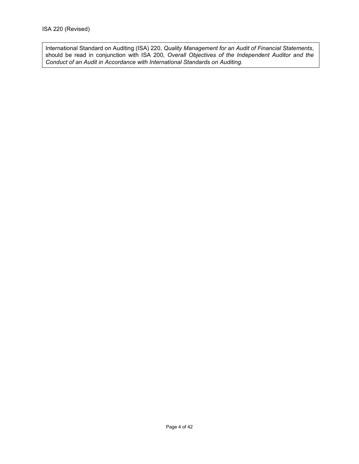International Standard on Auditing (ISA) 220, *Quality Management for an Audit of Financial Statements*, should be read in conjunction with ISA 200, *Overall Objectives of the Independent Auditor and the Conduct of an Audit in Accordance with International Standards on Auditing.*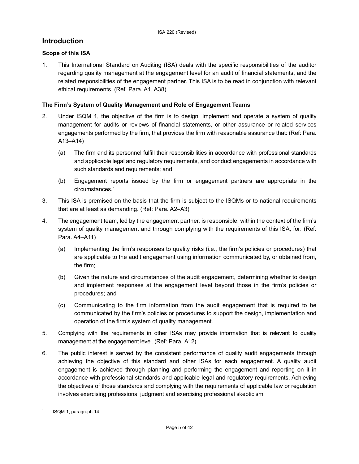## **Introduction**

## **Scope of this ISA**

1. This International Standard on Auditing (ISA) deals with the specific responsibilities of the auditor regarding quality management at the engagement level for an audit of financial statements, and the related responsibilities of the engagement partner. This ISA is to be read in conjunction with relevant ethical requirements. (Ref: Para. A1, A38)

## **The Firm's System of Quality Management and Role of Engagement Teams**

- 2. Under ISQM 1, the objective of the firm is to design, implement and operate a system of quality management for audits or reviews of financial statements, or other assurance or related services engagements performed by the firm, that provides the firm with reasonable assurance that: (Ref: Para. A13–A14)
	- (a) The firm and its personnel fulfill their responsibilities in accordance with professional standards and applicable legal and regulatory requirements, and conduct engagements in accordance with such standards and requirements; and
	- (b) Engagement reports issued by the firm or engagement partners are appropriate in the circumstances.[1](#page-4-0)
- 3. This ISA is premised on the basis that the firm is subject to the ISQMs or to national requirements that are at least as demanding. (Ref: Para. A2–A3)
- 4. The engagement team, led by the engagement partner, is responsible, within the context of the firm's system of quality management and through complying with the requirements of this ISA, for: (Ref: Para. A4–A11)
	- (a) Implementing the firm's responses to quality risks (i.e., the firm's policies or procedures) that are applicable to the audit engagement using information communicated by, or obtained from, the firm;
	- (b) Given the nature and circumstances of the audit engagement, determining whether to design and implement responses at the engagement level beyond those in the firm's policies or procedures; and
	- (c) Communicating to the firm information from the audit engagement that is required to be communicated by the firm's policies or procedures to support the design, implementation and operation of the firm's system of quality management.
- 5. Complying with the requirements in other ISAs may provide information that is relevant to quality management at the engagement level. (Ref: Para. A12)
- 6. The public interest is served by the consistent performance of quality audit engagements through achieving the objective of this standard and other ISAs for each engagement. A quality audit engagement is achieved through planning and performing the engagement and reporting on it in accordance with professional standards and applicable legal and regulatory requirements. Achieving the objectives of those standards and complying with the requirements of applicable law or regulation involves exercising professional judgment and exercising professional skepticism.

<span id="page-4-0"></span><sup>1</sup> ISQM 1, paragraph 14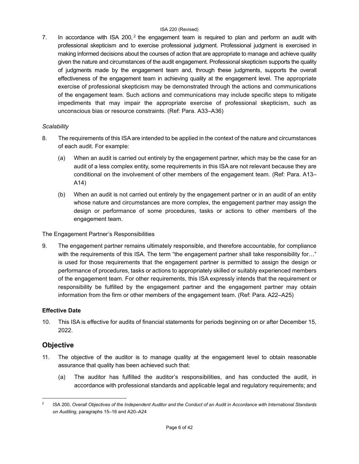7. In accordance with ISA [2](#page-5-0)00,  $2$  the engagement team is required to plan and perform an audit with professional skepticism and to exercise professional judgment. Professional judgment is exercised in making informed decisions about the courses of action that are appropriate to manage and achieve quality given the nature and circumstances of the audit engagement. Professional skepticism supports the quality of judgments made by the engagement team and, through these judgments, supports the overall effectiveness of the engagement team in achieving quality at the engagement level. The appropriate exercise of professional skepticism may be demonstrated through the actions and communications of the engagement team. Such actions and communications may include specific steps to mitigate impediments that may impair the appropriate exercise of professional skepticism, such as unconscious bias or resource constraints. (Ref: Para. A33–A36)

## *Scalability*

- 8. The requirements of this ISA are intended to be applied in the context of the nature and circumstances of each audit. For example:
	- (a) When an audit is carried out entirely by the engagement partner, which may be the case for an audit of a less complex entity, some requirements in this ISA are not relevant because they are conditional on the involvement of other members of the engagement team. (Ref: Para. A13– A14)
	- (b) When an audit is not carried out entirely by the engagement partner or in an audit of an entity whose nature and circumstances are more complex, the engagement partner may assign the design or performance of some procedures, tasks or actions to other members of the engagement team.

The Engagement Partner's Responsibilities

9. The engagement partner remains ultimately responsible, and therefore accountable, for compliance with the requirements of this ISA. The term "the engagement partner shall take responsibility for..." is used for those requirements that the engagement partner is permitted to assign the design or performance of procedures, tasks or actions to appropriately skilled or suitably experienced members of the engagement team. For other requirements, this ISA expressly intends that the requirement or responsibility be fulfilled by the engagement partner and the engagement partner may obtain information from the firm or other members of the engagement team. (Ref: Para. A22–A25)

## **Effective Date**

10. This ISA is effective for audits of financial statements for periods beginning on or after December 15, 2022.

## **Objective**

- 11. The objective of the auditor is to manage quality at the engagement level to obtain reasonable assurance that quality has been achieved such that:
	- (a) The auditor has fulfilled the auditor's responsibilities, and has conducted the audit, in accordance with professional standards and applicable legal and regulatory requirements; and

<span id="page-5-0"></span><sup>&</sup>lt;sup>2</sup> ISA 200, Overall Objectives of the Independent Auditor and the Conduct of an Audit in Accordance with International Standards on Auditing, paragraphs 15-16 and A20-A24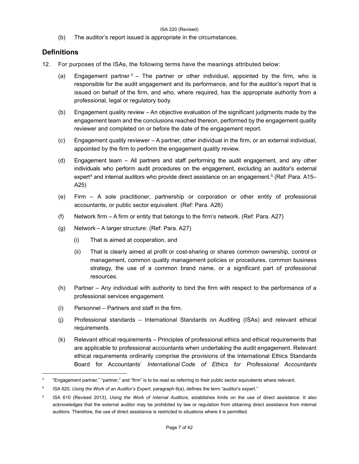(b) The auditor's report issued is appropriate in the circumstances.

## **Definitions**

- 12. For purposes of the ISAs, the following terms have the meanings attributed below:
	- (a) Engagement partner  $3 3 -$  The partner or other individual, appointed by the firm, who is responsible for the audit engagement and its performance, and for the auditor's report that is issued on behalf of the firm, and who, where required, has the appropriate authority from a professional, legal or regulatory body.
	- (b) Engagement quality review An objective evaluation of the significant judgments made by the engagement team and the conclusions reached thereon, performed by the engagement quality reviewer and completed on or before the date of the engagement report.
	- (c) Engagement quality reviewer A partner, other individual in the firm, or an external individual, appointed by the firm to perform the engagement quality review.
	- (d) Engagement team All partners and staff performing the audit engagement, and any other individuals who perform audit procedures on the engagement, excluding an auditor's external expert<sup>[4](#page-6-1)</sup> and internal auditors who provide direct assistance on an engagement.<sup>[5](#page-6-2)</sup> (Ref: Para. A15– A25)
	- (e) Firm A sole practitioner, partnership or corporation or other entity of professional accountants, or public sector equivalent. (Ref: Para. A26)
	- (f) Network firm A firm or entity that belongs to the firm's network. (Ref: Para. A27)
	- (g) Network A larger structure: (Ref: Para. A27)
		- (i) That is aimed at cooperation, and
		- (ii) That is clearly aimed at profit or cost-sharing or shares common ownership, control or management, common quality management policies or procedures, common business strategy, the use of a common brand name, or a significant part of professional resources.
	- (h) Partner Any individual with authority to bind the firm with respect to the performance of a professional services engagement.
	- (i) Personnel Partners and staff in the firm.
	- (j) Professional standards International Standards on Auditing (ISAs) and relevant ethical requirements.
	- (k) Relevant ethical requirements Principles of professional ethics and ethical requirements that are applicable to professional accountants when undertaking the audit engagement. Relevant ethical requirements ordinarily comprise the provisions of the International Ethics Standards Board for Accountants' *International Code of Ethics for Professional Accountants*

<span id="page-6-0"></span><sup>&</sup>lt;sup>3</sup> "Engagement partner," "partner," and "firm" is to be read as referring to their public sector equivalents where relevant.

<span id="page-6-1"></span><sup>4</sup> ISA 620, *Using the Work of an Auditor's Expert*, paragraph 6(a), defines the term "auditor's expert."

<span id="page-6-2"></span><sup>5</sup> ISA 610 (Revised 2013), *Using the Work of Internal Auditors,* establishes limits on the use of direct assistance. It also acknowledges that the external auditor may be prohibited by law or regulation from obtaining direct assistance from internal auditors. Therefore, the use of direct assistance is restricted to situations where it is permitted.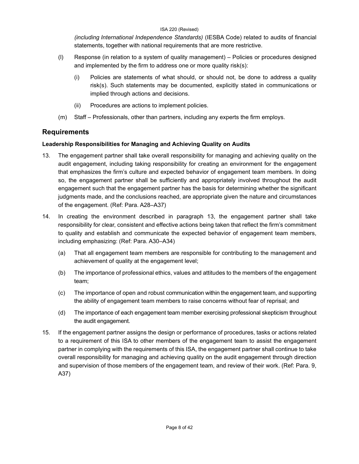*(including International Independence Standards)* (IESBA Code) related to audits of financial statements, together with national requirements that are more restrictive.

- (l) Response (in relation to a system of quality management) Policies or procedures designed and implemented by the firm to address one or more quality risk(s):
	- (i) Policies are statements of what should, or should not, be done to address a quality risk(s). Such statements may be documented, explicitly stated in communications or implied through actions and decisions.
	- (ii) Procedures are actions to implement policies.
- (m) Staff Professionals, other than partners, including any experts the firm employs.

## **Requirements**

## **Leadership Responsibilities for Managing and Achieving Quality on Audits**

- 13. The engagement partner shall take overall responsibility for managing and achieving quality on the audit engagement, including taking responsibility for creating an environment for the engagement that emphasizes the firm's culture and expected behavior of engagement team members. In doing so, the engagement partner shall be sufficiently and appropriately involved throughout the audit engagement such that the engagement partner has the basis for determining whether the significant judgments made, and the conclusions reached, are appropriate given the nature and circumstances of the engagement. (Ref: Para. A28–A37)
- 14. In creating the environment described in paragraph 13, the engagement partner shall take responsibility for clear, consistent and effective actions being taken that reflect the firm's commitment to quality and establish and communicate the expected behavior of engagement team members, including emphasizing: (Ref: Para. A30–A34)
	- (a) That all engagement team members are responsible for contributing to the management and achievement of quality at the engagement level;
	- (b) The importance of professional ethics, values and attitudes to the members of the engagement team;
	- (c) The importance of open and robust communication within the engagement team, and supporting the ability of engagement team members to raise concerns without fear of reprisal; and
	- (d) The importance of each engagement team member exercising professional skepticism throughout the audit engagement.
- 15. If the engagement partner assigns the design or performance of procedures, tasks or actions related to a requirement of this ISA to other members of the engagement team to assist the engagement partner in complying with the requirements of this ISA, the engagement partner shall continue to take overall responsibility for managing and achieving quality on the audit engagement through direction and supervision of those members of the engagement team, and review of their work. (Ref: Para. 9, A37)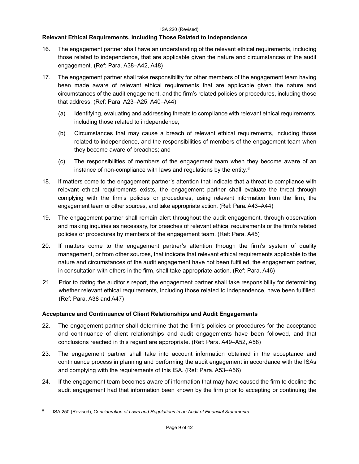## **Relevant Ethical Requirements, Including Those Related to Independence**

- 16. The engagement partner shall have an understanding of the relevant ethical requirements, including those related to independence, that are applicable given the nature and circumstances of the audit engagement. (Ref: Para. A38–A42, A48)
- 17. The engagement partner shall take responsibility for other members of the engagement team having been made aware of relevant ethical requirements that are applicable given the nature and circumstances of the audit engagement, and the firm's related policies or procedures, including those that address: (Ref: Para. A23–A25, A40–A44)
	- (a) Identifying, evaluating and addressing threats to compliance with relevant ethical requirements, including those related to independence;
	- (b) Circumstances that may cause a breach of relevant ethical requirements, including those related to independence, and the responsibilities of members of the engagement team when they become aware of breaches; and
	- (c) The responsibilities of members of the engagement team when they become aware of an instance of non-compliance with laws and regulations by the entity.[6](#page-8-0)
- 18. If matters come to the engagement partner's attention that indicate that a threat to compliance with relevant ethical requirements exists, the engagement partner shall evaluate the threat through complying with the firm's policies or procedures, using relevant information from the firm, the engagement team or other sources, and take appropriate action. (Ref: Para. A43–A44)
- 19. The engagement partner shall remain alert throughout the audit engagement, through observation and making inquiries as necessary, for breaches of relevant ethical requirements or the firm's related policies or procedures by members of the engagement team. (Ref: Para. A45)
- 20. If matters come to the engagement partner's attention through the firm's system of quality management, or from other sources, that indicate that relevant ethical requirements applicable to the nature and circumstances of the audit engagement have not been fulfilled, the engagement partner, in consultation with others in the firm, shall take appropriate action. (Ref: Para. A46)
- 21. Prior to dating the auditor's report, the engagement partner shall take responsibility for determining whether relevant ethical requirements, including those related to independence, have been fulfilled. (Ref: Para. A38 and A47)

## **Acceptance and Continuance of Client Relationships and Audit Engagements**

- 22. The engagement partner shall determine that the firm's policies or procedures for the acceptance and continuance of client relationships and audit engagements have been followed, and that conclusions reached in this regard are appropriate. (Ref: Para. A49–A52, A58)
- 23. The engagement partner shall take into account information obtained in the acceptance and continuance process in planning and performing the audit engagement in accordance with the ISAs and complying with the requirements of this ISA. (Ref: Para. A53–A56)
- 24. If the engagement team becomes aware of information that may have caused the firm to decline the audit engagement had that information been known by the firm prior to accepting or continuing the

<span id="page-8-0"></span><sup>6</sup> ISA 250 (Revised), *Consideration of Laws and Regulations in an Audit of Financial Statements*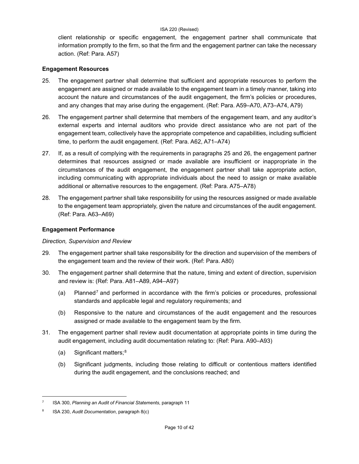client relationship or specific engagement, the engagement partner shall communicate that information promptly to the firm, so that the firm and the engagement partner can take the necessary action. (Ref: Para. A57)

## **Engagement Resources**

- 25. The engagement partner shall determine that sufficient and appropriate resources to perform the engagement are assigned or made available to the engagement team in a timely manner, taking into account the nature and circumstances of the audit engagement, the firm's policies or procedures, and any changes that may arise during the engagement. (Ref: Para. A59–A70, A73–A74, A79)
- 26. The engagement partner shall determine that members of the engagement team, and any auditor's external experts and internal auditors who provide direct assistance who are not part of the engagement team, collectively have the appropriate competence and capabilities, including sufficient time, to perform the audit engagement. (Ref: Para. A62, A71–A74)
- 27. If, as a result of complying with the requirements in paragraphs 25 and 26, the engagement partner determines that resources assigned or made available are insufficient or inappropriate in the circumstances of the audit engagement, the engagement partner shall take appropriate action, including communicating with appropriate individuals about the need to assign or make available additional or alternative resources to the engagement. (Ref: Para. A75–A78)
- 28. The engagement partner shall take responsibility for using the resources assigned or made available to the engagement team appropriately, given the nature and circumstances of the audit engagement. (Ref: Para. A63–A69)

## **Engagement Performance**

## *Direction, Supervision and Review*

- 29. The engagement partner shall take responsibility for the direction and supervision of the members of the engagement team and the review of their work. (Ref: Para. A80)
- 30. The engagement partner shall determine that the nature, timing and extent of direction, supervision and review is: (Ref: Para. A81–A89, A94–A97)
	- (a) Planned<sup>7</sup> and performed in accordance with the firm's policies or procedures, professional standards and applicable legal and regulatory requirements; and
	- (b) Responsive to the nature and circumstances of the audit engagement and the resources assigned or made available to the engagement team by the firm.
- 31. The engagement partner shall review audit documentation at appropriate points in time during the audit engagement, including audit documentation relating to: (Ref: Para. A90–A93)
	- (a) Significant matters; $8$
	- (b) Significant judgments, including those relating to difficult or contentious matters identified during the audit engagement, and the conclusions reached; and

<span id="page-9-0"></span><sup>7</sup> ISA 300, *Planning an Audit of Financial Statements*, paragraph 11

<span id="page-9-1"></span><sup>8</sup> ISA 230, *Audit Documentation*, paragraph 8(c)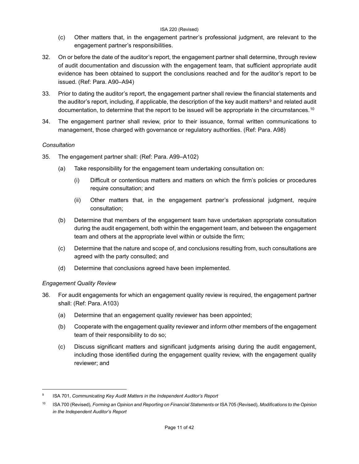- (c) Other matters that, in the engagement partner's professional judgment, are relevant to the engagement partner's responsibilities.
- 32. On or before the date of the auditor's report, the engagement partner shall determine, through review of audit documentation and discussion with the engagement team, that sufficient appropriate audit evidence has been obtained to support the conclusions reached and for the auditor's report to be issued. (Ref: Para. A90–A94)
- 33. Prior to dating the auditor's report, the engagement partner shall review the financial statements and the auditor's report, including, if applicable, the description of the key audit matters<sup>[9](#page-10-0)</sup> and related audit documentation, to determine that the report to be issued will be appropriate in the circumstances.<sup>[10](#page-10-1)</sup>
- 34. The engagement partner shall review, prior to their issuance, formal written communications to management, those charged with governance or regulatory authorities. (Ref: Para. A98)

## *Consultation*

- 35. The engagement partner shall: (Ref: Para. A99–A102)
	- (a) Take responsibility for the engagement team undertaking consultation on:
		- (i) Difficult or contentious matters and matters on which the firm's policies or procedures require consultation; and
		- (ii) Other matters that, in the engagement partner's professional judgment, require consultation;
	- (b) Determine that members of the engagement team have undertaken appropriate consultation during the audit engagement, both within the engagement team, and between the engagement team and others at the appropriate level within or outside the firm;
	- (c) Determine that the nature and scope of, and conclusions resulting from, such consultations are agreed with the party consulted; and
	- (d) Determine that conclusions agreed have been implemented.

## *Engagement Quality Review*

- 36. For audit engagements for which an engagement quality review is required, the engagement partner shall: (Ref: Para. A103)
	- (a) Determine that an engagement quality reviewer has been appointed;
	- (b) Cooperate with the engagement quality reviewer and inform other members of the engagement team of their responsibility to do so;
	- (c) Discuss significant matters and significant judgments arising during the audit engagement, including those identified during the engagement quality review, with the engagement quality reviewer; and

<span id="page-10-0"></span><sup>9</sup> ISA 701, *Communicating Key Audit Matters in the Independent Auditor's Report*

<span id="page-10-1"></span><sup>10</sup> ISA 700 (Revised), *Forming an Opinion and Reporting on Financial Statements* or ISA 705 (Revised), *Modifications to the Opinion in the Independent Auditor's Report*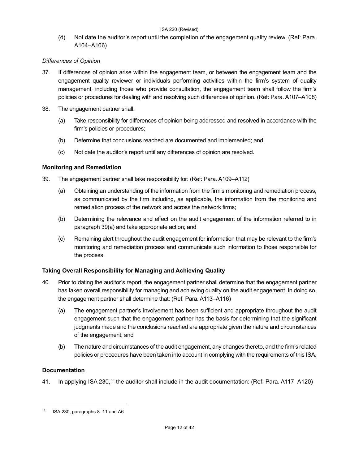(d) Not date the auditor's report until the completion of the engagement quality review. (Ref: Para. A104–A106)

## *Differences of Opinion*

- 37. If differences of opinion arise within the engagement team, or between the engagement team and the engagement quality reviewer or individuals performing activities within the firm's system of quality management, including those who provide consultation, the engagement team shall follow the firm's policies or procedures for dealing with and resolving such differences of opinion. (Ref: Para. A107–A108)
- 38. The engagement partner shall:
	- (a) Take responsibility for differences of opinion being addressed and resolved in accordance with the firm's policies or procedures;
	- (b) Determine that conclusions reached are documented and implemented; and
	- (c) Not date the auditor's report until any differences of opinion are resolved.

## **Monitoring and Remediation**

- 39. The engagement partner shall take responsibility for: (Ref: Para. A109‒A112)
	- (a) Obtaining an understanding of the information from the firm's monitoring and remediation process, as communicated by the firm including, as applicable, the information from the monitoring and remediation process of the network and across the network firms;
	- (b) Determining the relevance and effect on the audit engagement of the information referred to in paragraph 39(a) and take appropriate action; and
	- (c) Remaining alert throughout the audit engagement for information that may be relevant to the firm's monitoring and remediation process and communicate such information to those responsible for the process.

## **Taking Overall Responsibility for Managing and Achieving Quality**

- 40. Prior to dating the auditor's report, the engagement partner shall determine that the engagement partner has taken overall responsibility for managing and achieving quality on the audit engagement. In doing so, the engagement partner shall determine that: (Ref: Para. A113–A116)
	- (a) The engagement partner's involvement has been sufficient and appropriate throughout the audit engagement such that the engagement partner has the basis for determining that the significant judgments made and the conclusions reached are appropriate given the nature and circumstances of the engagement; and
	- (b) The nature and circumstances of the audit engagement, any changes thereto, and the firm's related policies or procedures have been taken into account in complying with the requirements of this ISA.

## **Documentation**

41. In applying ISA 230,<sup>[11](#page-11-0)</sup> the auditor shall include in the audit documentation: (Ref: Para. A117–A120)

<span id="page-11-0"></span><sup>11</sup> ISA 230, paragraphs 8–11 and A6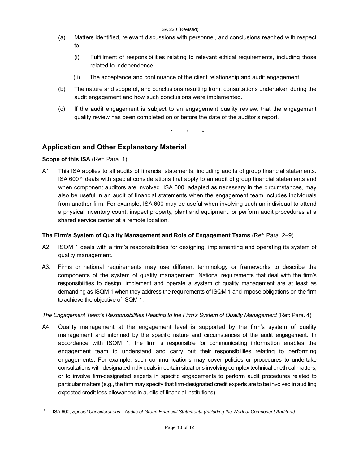- (a) Matters identified, relevant discussions with personnel, and conclusions reached with respect to:
	- (i) Fulfillment of responsibilities relating to relevant ethical requirements, including those related to independence.
	- (ii) The acceptance and continuance of the client relationship and audit engagement.
- (b) The nature and scope of, and conclusions resulting from, consultations undertaken during the audit engagement and how such conclusions were implemented.
- (c) If the audit engagement is subject to an engagement quality review, that the engagement quality review has been completed on or before the date of the auditor's report.

\* \* \*

## **Application and Other Explanatory Material**

## **Scope of this ISA** (Ref: Para. 1)

A1. This ISA applies to all audits of financial statements, including audits of group financial statements. ISA  $600^{12}$  $600^{12}$  $600^{12}$  deals with special considerations that apply to an audit of group financial statements and when component auditors are involved. ISA 600, adapted as necessary in the circumstances, may also be useful in an audit of financial statements when the engagement team includes individuals from another firm. For example, ISA 600 may be useful when involving such an individual to attend a physical inventory count, inspect property, plant and equipment, or perform audit procedures at a shared service center at a remote location.

## **The Firm's System of Quality Management and Role of Engagement Teams** (Ref: Para. 2–9)

- A2. ISQM 1 deals with a firm's responsibilities for designing, implementing and operating its system of quality management.
- A3. Firms or national requirements may use different terminology or frameworks to describe the components of the system of quality management. National requirements that deal with the firm's responsibilities to design, implement and operate a system of quality management are at least as demanding as ISQM 1 when they address the requirements of ISQM 1 and impose obligations on the firm to achieve the objective of ISQM 1.

## *The Engagement Team's Responsibilities Relating to the Firm's System of Quality Management* (Ref: Para. 4)

A4. Quality management at the engagement level is supported by the firm's system of quality management and informed by the specific nature and circumstances of the audit engagement. In accordance with ISQM 1, the firm is responsible for communicating information enables the engagement team to understand and carry out their responsibilities relating to performing engagements. For example, such communications may cover policies or procedures to undertake consultations with designated individuals in certain situations involving complex technical or ethical matters, or to involve firm-designated experts in specific engagements to perform audit procedures related to particular matters (e.g., the firm may specify that firm-designated credit experts are to be involved in auditing expected credit loss allowances in audits of financial institutions).

<span id="page-12-0"></span><sup>12</sup> ISA 600, *Special Considerations—Audits of Group Financial Statements (Including the Work of Component Auditors)*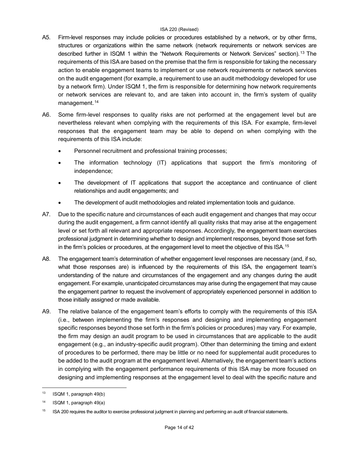- A5. Firm-level responses may include policies or procedures established by a network, or by other firms, structures or organizations within the same network (network requirements or network services are described further in ISQM 1 within the "Network Requirements or Network Services" section). [13](#page-13-0) The requirements of this ISA are based on the premise that the firm is responsible for taking the necessary action to enable engagement teams to implement or use network requirements or network services on the audit engagement (for example, a requirement to use an audit methodology developed for use by a network firm). Under ISQM 1, the firm is responsible for determining how network requirements or network services are relevant to, and are taken into account in, the firm's system of quality management.<sup>[14](#page-13-1)</sup>
- A6. Some firm-level responses to quality risks are not performed at the engagement level but are nevertheless relevant when complying with the requirements of this ISA. For example, firm-level responses that the engagement team may be able to depend on when complying with the requirements of this ISA include:
	- Personnel recruitment and professional training processes;
	- The information technology (IT) applications that support the firm's monitoring of independence;
	- The development of IT applications that support the acceptance and continuance of client relationships and audit engagements; and
	- The development of audit methodologies and related implementation tools and guidance.
- A7. Due to the specific nature and circumstances of each audit engagement and changes that may occur during the audit engagement, a firm cannot identify all quality risks that may arise at the engagement level or set forth all relevant and appropriate responses. Accordingly, the engagement team exercises professional judgment in determining whether to design and implement responses, beyond those set forth in the firm's policies or procedures, at the engagement level to meet the objective of this ISA.[15](#page-13-2)
- A8. The engagement team's determination of whether engagement level responses are necessary (and, if so, what those responses are) is influenced by the requirements of this ISA, the engagement team's understanding of the nature and circumstances of the engagement and any changes during the audit engagement. For example, unanticipated circumstances may arise during the engagement that may cause the engagement partner to request the involvement of appropriately experienced personnel in addition to those initially assigned or made available.
- A9. The relative balance of the engagement team's efforts to comply with the requirements of this ISA (i.e., between implementing the firm's responses and designing and implementing engagement specific responses beyond those set forth in the firm's policies or procedures) may vary. For example, the firm may design an audit program to be used in circumstances that are applicable to the audit engagement (e.g., an industry-specific audit program). Other than determining the timing and extent of procedures to be performed, there may be little or no need for supplemental audit procedures to be added to the audit program at the engagement level. Alternatively, the engagement team's actions in complying with the engagement performance requirements of this ISA may be more focused on designing and implementing responses at the engagement level to deal with the specific nature and

<span id="page-13-0"></span> $13$  ISQM 1, paragraph 49(b)

<span id="page-13-1"></span><sup>14</sup> ISQM 1, paragraph 49(a)

<span id="page-13-2"></span><sup>&</sup>lt;sup>15</sup> ISA 200 requires the auditor to exercise professional judgment in planning and performing an audit of financial statements.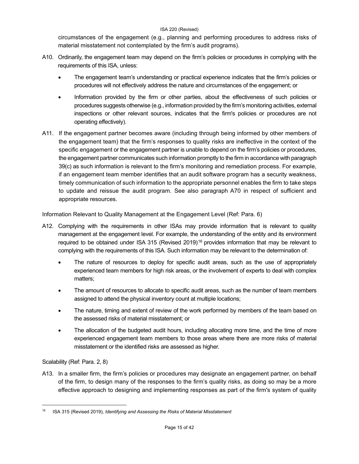circumstances of the engagement (e.g., planning and performing procedures to address risks of material misstatement not contemplated by the firm's audit programs).

- A10. Ordinarily, the engagement team may depend on the firm's policies or procedures in complying with the requirements of this ISA, unless:
	- The engagement team's understanding or practical experience indicates that the firm's policies or procedures will not effectively address the nature and circumstances of the engagement; or
	- Information provided by the firm or other parties, about the effectiveness of such policies or procedures suggests otherwise (e.g., information provided by the firm's monitoring activities, external inspections or other relevant sources, indicates that the firm's policies or procedures are not operating effectively).
- A11. If the engagement partner becomes aware (including through being informed by other members of the engagement team) that the firm's responses to quality risks are ineffective in the context of the specific engagement or the engagement partner is unable to depend on the firm's policies or procedures, the engagement partner communicates such information promptly to the firm in accordance with paragraph 39(c) as such information is relevant to the firm's monitoring and remediation process. For example, if an engagement team member identifies that an audit software program has a security weakness, timely communication of such information to the appropriate personnel enables the firm to take steps to update and reissue the audit program. See also paragraph A70 in respect of sufficient and appropriate resources.

Information Relevant to Quality Management at the Engagement Level (Ref: Para. 6)

- A12. Complying with the requirements in other ISAs may provide information that is relevant to quality management at the engagement level. For example, the understanding of the entity and its environment required to be obtained under ISA 315 (Revised 2019)<sup>[16](#page-14-0)</sup> provides information that may be relevant to complying with the requirements of this ISA. Such information may be relevant to the determination of:
	- The nature of resources to deploy for specific audit areas, such as the use of appropriately experienced team members for high risk areas, or the involvement of experts to deal with complex matters;
	- The amount of resources to allocate to specific audit areas, such as the number of team members assigned to attend the physical inventory count at multiple locations;
	- The nature, timing and extent of review of the work performed by members of the team based on the assessed risks of material misstatement; or
	- The allocation of the budgeted audit hours, including allocating more time, and the time of more experienced engagement team members to those areas where there are more risks of material misstatement or the identified risks are assessed as higher.

Scalability (Ref: Para. 2, 8)

A13. In a smaller firm, the firm's policies or procedures may designate an engagement partner, on behalf of the firm, to design many of the responses to the firm's quality risks, as doing so may be a more effective approach to designing and implementing responses as part of the firm's system of quality

<span id="page-14-0"></span><sup>16</sup> ISA 315 (Revised 2019), *Identifying and Assessing the Risks of Material Misstatement*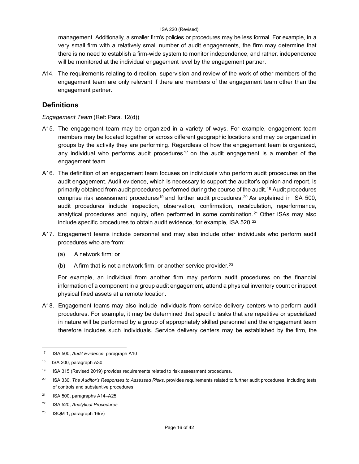management. Additionally, a smaller firm's policies or procedures may be less formal. For example, in a very small firm with a relatively small number of audit engagements, the firm may determine that there is no need to establish a firm-wide system to monitor independence, and rather, independence will be monitored at the individual engagement level by the engagement partner.

A14. The requirements relating to direction, supervision and review of the work of other members of the engagement team are only relevant if there are members of the engagement team other than the engagement partner.

## **Definitions**

## *Engagement Team* (Ref: Para. 12(d))

- A15. The engagement team may be organized in a variety of ways. For example, engagement team members may be located together or across different geographic locations and may be organized in groups by the activity they are performing. Regardless of how the engagement team is organized, any individual who performs audit procedures  $17$  on the audit engagement is a member of the engagement team.
- A16. The definition of an engagement team focuses on individuals who perform audit procedures on the audit engagement. Audit evidence, which is necessary to support the auditor's opinion and report, is primarily obtained from audit procedures performed during the course of the audit.<sup>[18](#page-15-1)</sup> Audit procedures comprise risk assessment procedures<sup>[19](#page-15-2)</sup> and further audit procedures.<sup>[20](#page-15-3)</sup> As explained in ISA 500, audit procedures include inspection, observation, confirmation, recalculation, reperformance, analytical procedures and inquiry, often performed in some combination.[21](#page-15-4) Other ISAs may also include specific procedures to obtain audit evidence, for example, ISA 520.<sup>[22](#page-15-5)</sup>
- A17. Engagement teams include personnel and may also include other individuals who perform audit procedures who are from:
	- (a) A network firm; or
	- (b) A firm that is not a network firm, or another service provider.  $23$

For example, an individual from another firm may perform audit procedures on the financial information of a component in a group audit engagement, attend a physical inventory count or inspect physical fixed assets at a remote location.

A18. Engagement teams may also include individuals from service delivery centers who perform audit procedures. For example, it may be determined that specific tasks that are repetitive or specialized in nature will be performed by a group of appropriately skilled personnel and the engagement team therefore includes such individuals. Service delivery centers may be established by the firm, the

<span id="page-15-0"></span><sup>17</sup> ISA 500, *Audit Evidence*, paragraph A10

<span id="page-15-1"></span><sup>18</sup> ISA 200, paragraph A30

<span id="page-15-2"></span><sup>19</sup> ISA 315 (Revised 2019) provides requirements related to risk assessment procedures.

<span id="page-15-3"></span><sup>20</sup> ISA 330, *The Auditor's Responses to Assessed Risks*, provides requirements related to further audit procedures, including tests of controls and substantive procedures.

<span id="page-15-4"></span> $21$  ISA 500, paragraphs A14-A25

<span id="page-15-5"></span><sup>22</sup> ISA 520, *Analytical Procedures*

<span id="page-15-6"></span><sup>&</sup>lt;sup>23</sup> ISQM 1, paragraph  $16(v)$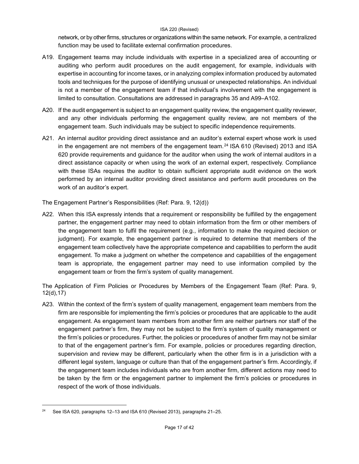network, or by other firms, structures or organizations within the same network. For example, a centralized function may be used to facilitate external confirmation procedures.

- A19. Engagement teams may include individuals with expertise in a specialized area of accounting or auditing who perform audit procedures on the audit engagement, for example, individuals with expertise in accounting for income taxes, or in analyzing complex information produced by automated tools and techniques for the purpose of identifying unusual or unexpected relationships. An individual is not a member of the engagement team if that individual's involvement with the engagement is limited to consultation. Consultations are addressed in paragraphs 35 and A99–A102.
- A20. If the audit engagement is subject to an engagement quality review, the engagement quality reviewer, and any other individuals performing the engagement quality review, are not members of the engagement team. Such individuals may be subject to specific independence requirements.
- A21. An internal auditor providing direct assistance and an auditor's external expert whose work is used in the engagement are not members of the engagement team.<sup>[24](#page-16-0)</sup> ISA 610 (Revised) 2013 and ISA 620 provide requirements and guidance for the auditor when using the work of internal auditors in a direct assistance capacity or when using the work of an external expert, respectively. Compliance with these ISAs requires the auditor to obtain sufficient appropriate audit evidence on the work performed by an internal auditor providing direct assistance and perform audit procedures on the work of an auditor's expert.

The Engagement Partner's Responsibilities (Ref: Para. 9, 12(d))

A22. When this ISA expressly intends that a requirement or responsibility be fulfilled by the engagement partner, the engagement partner may need to obtain information from the firm or other members of the engagement team to fulfil the requirement (e.g., information to make the required decision or judgment). For example, the engagement partner is required to determine that members of the engagement team collectively have the appropriate competence and capabilities to perform the audit engagement. To make a judgment on whether the competence and capabilities of the engagement team is appropriate, the engagement partner may need to use information compiled by the engagement team or from the firm's system of quality management.

The Application of Firm Policies or Procedures by Members of the Engagement Team (Ref: Para. 9, 12(d),17)

A23. Within the context of the firm's system of quality management, engagement team members from the firm are responsible for implementing the firm's policies or procedures that are applicable to the audit engagement. As engagement team members from another firm are neither partners nor staff of the engagement partner's firm, they may not be subject to the firm's system of quality management or the firm's policies or procedures. Further, the policies or procedures of another firm may not be similar to that of the engagement partner's firm. For example, policies or procedures regarding direction, supervision and review may be different, particularly when the other firm is in a jurisdiction with a different legal system, language or culture than that of the engagement partner's firm. Accordingly, if the engagement team includes individuals who are from another firm, different actions may need to be taken by the firm or the engagement partner to implement the firm's policies or procedures in respect of the work of those individuals.

<span id="page-16-0"></span><sup>&</sup>lt;sup>24</sup> See ISA 620, paragraphs 12–13 and ISA 610 (Revised 2013), paragraphs 21–25.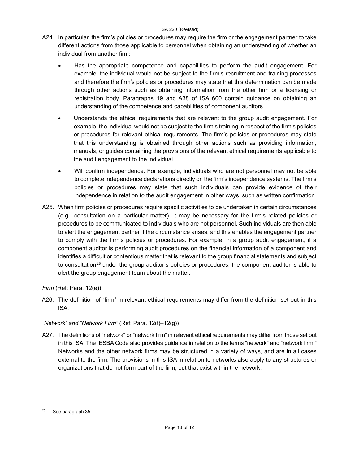- A24. In particular, the firm's policies or procedures may require the firm or the engagement partner to take different actions from those applicable to personnel when obtaining an understanding of whether an individual from another firm:
	- Has the appropriate competence and capabilities to perform the audit engagement. For example, the individual would not be subject to the firm's recruitment and training processes and therefore the firm's policies or procedures may state that this determination can be made through other actions such as obtaining information from the other firm or a licensing or registration body. Paragraphs 19 and A38 of ISA 600 contain guidance on obtaining an understanding of the competence and capabilities of component auditors.
	- Understands the ethical requirements that are relevant to the group audit engagement. For example, the individual would not be subject to the firm's training in respect of the firm's policies or procedures for relevant ethical requirements. The firm's policies or procedures may state that this understanding is obtained through other actions such as providing information, manuals, or guides containing the provisions of the relevant ethical requirements applicable to the audit engagement to the individual.
	- Will confirm independence. For example, individuals who are not personnel may not be able to complete independence declarations directly on the firm's independence systems. The firm's policies or procedures may state that such individuals can provide evidence of their independence in relation to the audit engagement in other ways, such as written confirmation.
- A25. When firm policies or procedures require specific activities to be undertaken in certain circumstances (e.g., consultation on a particular matter), it may be necessary for the firm's related policies or procedures to be communicated to individuals who are not personnel. Such individuals are then able to alert the engagement partner if the circumstance arises, and this enables the engagement partner to comply with the firm's policies or procedures. For example, in a group audit engagement, if a component auditor is performing audit procedures on the financial information of a component and identifies a difficult or contentious matter that is relevant to the group financial statements and subject to consultation<sup>[25](#page-17-0)</sup> under the group auditor's policies or procedures, the component auditor is able to alert the group engagement team about the matter.

## *Firm* (Ref: Para. 12(e))

A26. The definition of "firm" in relevant ethical requirements may differ from the definition set out in this ISA.

## *"Network" and "Network Firm"* (Ref: Para. 12(f)–12(g))

A27. The definitions of "network" or "network firm" in relevant ethical requirements may differ from those set out in this ISA. The IESBA Code also provides guidance in relation to the terms "network" and "network firm." Networks and the other network firms may be structured in a variety of ways, and are in all cases external to the firm. The provisions in this ISA in relation to networks also apply to any structures or organizations that do not form part of the firm, but that exist within the network.

<span id="page-17-0"></span><sup>25</sup> See paragraph 35.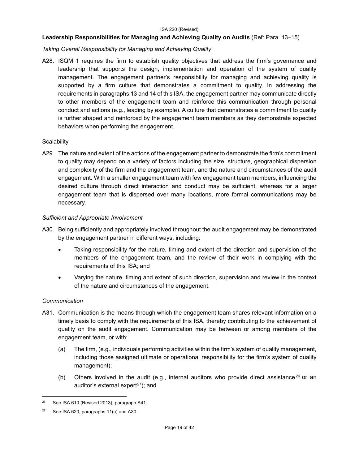## **Leadership Responsibilities for Managing and Achieving Quality on Audits** (Ref: Para. 13–15)

## *Taking Overall Responsibility for Managing and Achieving Quality*

A28. ISQM 1 requires the firm to establish quality objectives that address the firm's governance and leadership that supports the design, implementation and operation of the system of quality management. The engagement partner's responsibility for managing and achieving quality is supported by a firm culture that demonstrates a commitment to quality. In addressing the requirements in paragraphs 13 and 14 of this ISA, the engagement partner may communicate directly to other members of the engagement team and reinforce this communication through personal conduct and actions (e.g., leading by example). A culture that demonstrates a commitment to quality is further shaped and reinforced by the engagement team members as they demonstrate expected behaviors when performing the engagement.

## **Scalability**

A29. The nature and extent of the actions of the engagement partner to demonstrate the firm's commitment to quality may depend on a variety of factors including the size, structure, geographical dispersion and complexity of the firm and the engagement team, and the nature and circumstances of the audit engagement. With a smaller engagement team with few engagement team members, influencing the desired culture through direct interaction and conduct may be sufficient, whereas for a larger engagement team that is dispersed over many locations, more formal communications may be necessary.

## *Sufficient and Appropriate Involvement*

- A30. Being sufficiently and appropriately involved throughout the audit engagement may be demonstrated by the engagement partner in different ways, including:
	- Taking responsibility for the nature, timing and extent of the direction and supervision of the members of the engagement team, and the review of their work in complying with the requirements of this ISA; and
	- Varying the nature, timing and extent of such direction, supervision and review in the context of the nature and circumstances of the engagement.

## *Communication*

- A31. Communication is the means through which the engagement team shares relevant information on a timely basis to comply with the requirements of this ISA, thereby contributing to the achievement of quality on the audit engagement. Communication may be between or among members of the engagement team, or with:
	- (a) The firm, (e.g., individuals performing activities within the firm's system of quality management, including those assigned ultimate or operational responsibility for the firm's system of quality management);
	- (b) Others involved in the audit (e.g., internal auditors who provide direct assistance<sup>26</sup> or an auditor's external expert<sup>[27](#page-18-1)</sup>); and

<span id="page-18-0"></span>See ISA 610 (Revised 2013), paragraph A41.

<span id="page-18-1"></span> $27$  See ISA 620, paragraphs 11(c) and A30.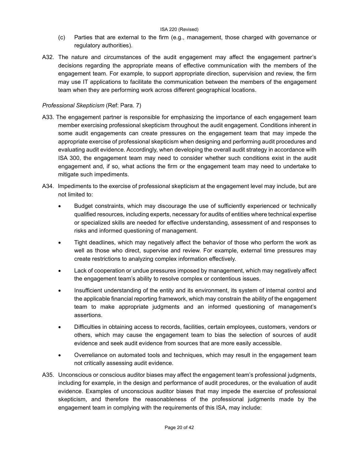- (c) Parties that are external to the firm (e.g., management, those charged with governance or regulatory authorities).
- A32. The nature and circumstances of the audit engagement may affect the engagement partner's decisions regarding the appropriate means of effective communication with the members of the engagement team. For example, to support appropriate direction, supervision and review, the firm may use IT applications to facilitate the communication between the members of the engagement team when they are performing work across different geographical locations.

## *Professional Skepticism* (Ref: Para. 7)

- A33. The engagement partner is responsible for emphasizing the importance of each engagement team member exercising professional skepticism throughout the audit engagement. Conditions inherent in some audit engagements can create pressures on the engagement team that may impede the appropriate exercise of professional skepticism when designing and performing audit procedures and evaluating audit evidence. Accordingly, when developing the overall audit strategy in accordance with ISA 300, the engagement team may need to consider whether such conditions exist in the audit engagement and, if so, what actions the firm or the engagement team may need to undertake to mitigate such impediments.
- A34. Impediments to the exercise of professional skepticism at the engagement level may include, but are not limited to:
	- Budget constraints, which may discourage the use of sufficiently experienced or technically qualified resources, including experts, necessary for audits of entities where technical expertise or specialized skills are needed for effective understanding, assessment of and responses to risks and informed questioning of management.
	- Tight deadlines, which may negatively affect the behavior of those who perform the work as well as those who direct, supervise and review. For example, external time pressures may create restrictions to analyzing complex information effectively.
	- Lack of cooperation or undue pressures imposed by management, which may negatively affect the engagement team's ability to resolve complex or contentious issues.
	- Insufficient understanding of the entity and its environment, its system of internal control and the applicable financial reporting framework, which may constrain the ability of the engagement team to make appropriate judgments and an informed questioning of management's assertions.
	- Difficulties in obtaining access to records, facilities, certain employees, customers, vendors or others, which may cause the engagement team to bias the selection of sources of audit evidence and seek audit evidence from sources that are more easily accessible.
	- Overreliance on automated tools and techniques, which may result in the engagement team not critically assessing audit evidence.
- A35. Unconscious or conscious auditor biases may affect the engagement team's professional judgments, including for example, in the design and performance of audit procedures, or the evaluation of audit evidence. Examples of unconscious auditor biases that may impede the exercise of professional skepticism, and therefore the reasonableness of the professional judgments made by the engagement team in complying with the requirements of this ISA, may include: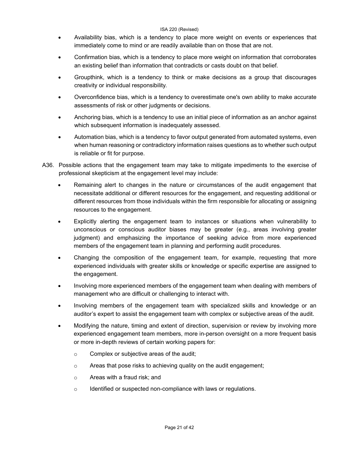- Availability bias, which is a tendency to place more weight on events or experiences that immediately come to mind or are readily available than on those that are not.
- Confirmation bias, which is a tendency to place more weight on information that corroborates an existing belief than information that contradicts or casts doubt on that belief.
- Groupthink, which is a tendency to think or make decisions as a group that discourages creativity or individual responsibility.
- Overconfidence bias, which is a tendency to overestimate one's own ability to make accurate assessments of risk or other judgments or decisions.
- Anchoring bias, which is a tendency to use an initial piece of information as an anchor against which subsequent information is inadequately assessed.
- Automation bias, which is a tendency to favor output generated from automated systems, even when human reasoning or contradictory information raises questions as to whether such output is reliable or fit for purpose.
- A36. Possible actions that the engagement team may take to mitigate impediments to the exercise of professional skepticism at the engagement level may include:
	- Remaining alert to changes in the nature or circumstances of the audit engagement that necessitate additional or different resources for the engagement, and requesting additional or different resources from those individuals within the firm responsible for allocating or assigning resources to the engagement.
	- Explicitly alerting the engagement team to instances or situations when vulnerability to unconscious or conscious auditor biases may be greater (e.g., areas involving greater judgment) and emphasizing the importance of seeking advice from more experienced members of the engagement team in planning and performing audit procedures.
	- Changing the composition of the engagement team, for example, requesting that more experienced individuals with greater skills or knowledge or specific expertise are assigned to the engagement.
	- Involving more experienced members of the engagement team when dealing with members of management who are difficult or challenging to interact with.
	- Involving members of the engagement team with specialized skills and knowledge or an auditor's expert to assist the engagement team with complex or subjective areas of the audit.
	- Modifying the nature, timing and extent of direction, supervision or review by involving more experienced engagement team members, more in-person oversight on a more frequent basis or more in-depth reviews of certain working papers for:
		- o Complex or subjective areas of the audit;
		- o Areas that pose risks to achieving quality on the audit engagement;
		- o Areas with a fraud risk; and
		- $\circ$  Identified or suspected non-compliance with laws or regulations.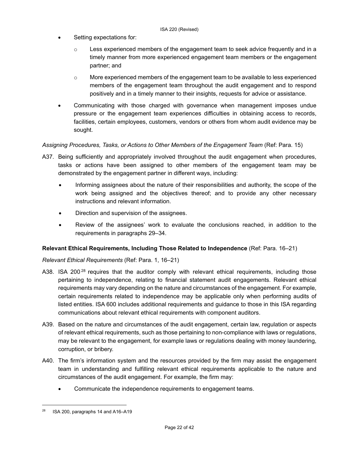- Setting expectations for:
	- $\circ$  Less experienced members of the engagement team to seek advice frequently and in a timely manner from more experienced engagement team members or the engagement partner; and
	- $\circ$  More experienced members of the engagement team to be available to less experienced members of the engagement team throughout the audit engagement and to respond positively and in a timely manner to their insights, requests for advice or assistance.
- Communicating with those charged with governance when management imposes undue pressure or the engagement team experiences difficulties in obtaining access to records, facilities, certain employees, customers, vendors or others from whom audit evidence may be sought.

## *Assigning Procedures, Tasks, or Actions to Other Members of the Engagement Team* (Ref: Para. 15)

- A37. Being sufficiently and appropriately involved throughout the audit engagement when procedures, tasks or actions have been assigned to other members of the engagement team may be demonstrated by the engagement partner in different ways, including:
	- Informing assignees about the nature of their responsibilities and authority, the scope of the work being assigned and the objectives thereof; and to provide any other necessary instructions and relevant information.
	- Direction and supervision of the assignees.
	- Review of the assignees' work to evaluate the conclusions reached, in addition to the requirements in paragraphs 29–34.

## **Relevant Ethical Requirements, Including Those Related to Independence** (Ref: Para. 16–21)

## *Relevant Ethical Requirements* (Ref: Para. 1, 16–21)

- A38. ISA 200 $^{28}$  requires that the auditor comply with relevant ethical requirements, including those pertaining to independence, relating to financial statement audit engagements. Relevant ethical requirements may vary depending on the nature and circumstances of the engagement. For example, certain requirements related to independence may be applicable only when performing audits of listed entities. ISA 600 includes additional requirements and guidance to those in this ISA regarding communications about relevant ethical requirements with component auditors.
- A39. Based on the nature and circumstances of the audit engagement, certain law, regulation or aspects of relevant ethical requirements, such as those pertaining to non-compliance with laws or regulations, may be relevant to the engagement, for example laws or regulations dealing with money laundering, corruption, or bribery.
- A40. The firm's information system and the resources provided by the firm may assist the engagement team in understanding and fulfilling relevant ethical requirements applicable to the nature and circumstances of the audit engagement. For example, the firm may:
	- Communicate the independence requirements to engagement teams.

<span id="page-21-0"></span> $28$  ISA 200, paragraphs 14 and A16-A19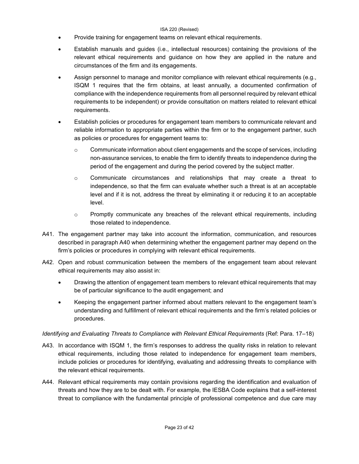- Provide training for engagement teams on relevant ethical requirements.
- Establish manuals and guides (i.e., intellectual resources) containing the provisions of the relevant ethical requirements and guidance on how they are applied in the nature and circumstances of the firm and its engagements.
- Assign personnel to manage and monitor compliance with relevant ethical requirements (e.g., ISQM 1 requires that the firm obtains, at least annually, a documented confirmation of compliance with the independence requirements from all personnel required by relevant ethical requirements to be independent) or provide consultation on matters related to relevant ethical requirements.
- Establish policies or procedures for engagement team members to communicate relevant and reliable information to appropriate parties within the firm or to the engagement partner, such as policies or procedures for engagement teams to:
	- $\circ$  Communicate information about client engagements and the scope of services, including non-assurance services, to enable the firm to identify threats to independence during the period of the engagement and during the period covered by the subject matter.
	- o Communicate circumstances and relationships that may create a threat to independence, so that the firm can evaluate whether such a threat is at an acceptable level and if it is not, address the threat by eliminating it or reducing it to an acceptable level.
	- $\circ$  Promptly communicate any breaches of the relevant ethical requirements, including those related to independence.
- A41. The engagement partner may take into account the information, communication, and resources described in paragraph A40 when determining whether the engagement partner may depend on the firm's policies or procedures in complying with relevant ethical requirements.
- A42. Open and robust communication between the members of the engagement team about relevant ethical requirements may also assist in:
	- Drawing the attention of engagement team members to relevant ethical requirements that may be of particular significance to the audit engagement; and
	- Keeping the engagement partner informed about matters relevant to the engagement team's understanding and fulfillment of relevant ethical requirements and the firm's related policies or procedures.

## *Identifying and Evaluating Threats to Compliance with Relevant Ethical Requirements* (Ref: Para. 17–18)

- A43. In accordance with ISQM 1, the firm's responses to address the quality risks in relation to relevant ethical requirements, including those related to independence for engagement team members, include policies or procedures for identifying, evaluating and addressing threats to compliance with the relevant ethical requirements.
- A44. Relevant ethical requirements may contain provisions regarding the identification and evaluation of threats and how they are to be dealt with. For example, the IESBA Code explains that a self-interest threat to compliance with the fundamental principle of professional competence and due care may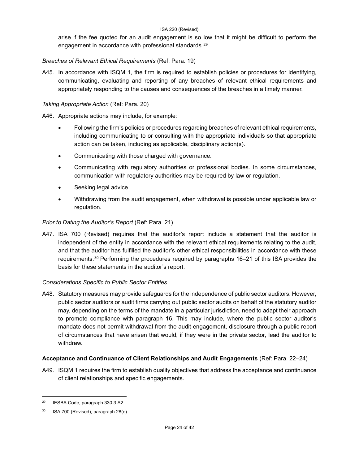arise if the fee quoted for an audit engagement is so low that it might be difficult to perform the engagement in accordance with professional standards.<sup>[29](#page-23-0)</sup>

## *Breaches of Relevant Ethical Requirements* (Ref: Para. 19)

A45. In accordance with ISQM 1, the firm is required to establish policies or procedures for identifying, communicating, evaluating and reporting of any breaches of relevant ethical requirements and appropriately responding to the causes and consequences of the breaches in a timely manner.

## *Taking Appropriate Action* (Ref: Para. 20)

A46. Appropriate actions may include, for example:

- Following the firm's policies or procedures regarding breaches of relevant ethical requirements, including communicating to or consulting with the appropriate individuals so that appropriate action can be taken, including as applicable, disciplinary action(s).
- Communicating with those charged with governance.
- Communicating with regulatory authorities or professional bodies. In some circumstances, communication with regulatory authorities may be required by law or regulation.
- Seeking legal advice.
- Withdrawing from the audit engagement, when withdrawal is possible under applicable law or regulation.

## *Prior to Dating the Auditor's Report* (Ref: Para. 21)

A47. ISA 700 (Revised) requires that the auditor's report include a statement that the auditor is independent of the entity in accordance with the relevant ethical requirements relating to the audit, and that the auditor has fulfilled the auditor's other ethical responsibilities in accordance with these requirements.[30](#page-23-1) Performing the procedures required by paragraphs 16–21 of this ISA provides the basis for these statements in the auditor's report.

## *Considerations Specific to Public Sector Entities*

A48. Statutory measures may provide safeguards for the independence of public sector auditors. However, public sector auditors or audit firms carrying out public sector audits on behalf of the statutory auditor may, depending on the terms of the mandate in a particular jurisdiction, need to adapt their approach to promote compliance with paragraph 16. This may include, where the public sector auditor's mandate does not permit withdrawal from the audit engagement, disclosure through a public report of circumstances that have arisen that would, if they were in the private sector, lead the auditor to withdraw.

## **Acceptance and Continuance of Client Relationships and Audit Engagements** (Ref: Para. 22–24)

A49. ISQM 1 requires the firm to establish quality objectives that address the acceptance and continuance of client relationships and specific engagements.

<span id="page-23-0"></span><sup>29</sup> IESBA Code, paragraph 330.3 A2

<span id="page-23-1"></span> $30$  ISA 700 (Revised), paragraph 28(c)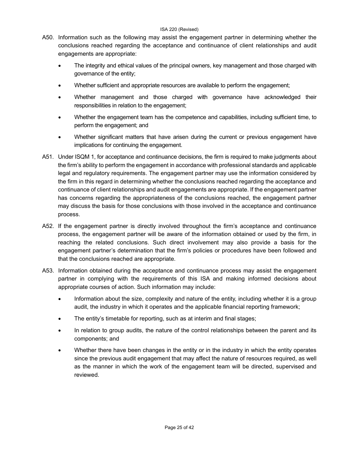- A50. Information such as the following may assist the engagement partner in determining whether the conclusions reached regarding the acceptance and continuance of client relationships and audit engagements are appropriate:
	- The integrity and ethical values of the principal owners, key management and those charged with governance of the entity;
	- Whether sufficient and appropriate resources are available to perform the engagement;
	- Whether management and those charged with governance have acknowledged their responsibilities in relation to the engagement;
	- Whether the engagement team has the competence and capabilities, including sufficient time, to perform the engagement; and
	- Whether significant matters that have arisen during the current or previous engagement have implications for continuing the engagement.
- A51. Under ISQM 1, for acceptance and continuance decisions, the firm is required to make judgments about the firm's ability to perform the engagement in accordance with professional standards and applicable legal and regulatory requirements. The engagement partner may use the information considered by the firm in this regard in determining whether the conclusions reached regarding the acceptance and continuance of client relationships and audit engagements are appropriate. If the engagement partner has concerns regarding the appropriateness of the conclusions reached, the engagement partner may discuss the basis for those conclusions with those involved in the acceptance and continuance process.
- A52. If the engagement partner is directly involved throughout the firm's acceptance and continuance process, the engagement partner will be aware of the information obtained or used by the firm, in reaching the related conclusions. Such direct involvement may also provide a basis for the engagement partner's determination that the firm's policies or procedures have been followed and that the conclusions reached are appropriate.
- A53. Information obtained during the acceptance and continuance process may assist the engagement partner in complying with the requirements of this ISA and making informed decisions about appropriate courses of action. Such information may include:
	- Information about the size, complexity and nature of the entity, including whether it is a group audit, the industry in which it operates and the applicable financial reporting framework;
	- The entity's timetable for reporting, such as at interim and final stages;
	- In relation to group audits, the nature of the control relationships between the parent and its components; and
	- Whether there have been changes in the entity or in the industry in which the entity operates since the previous audit engagement that may affect the nature of resources required, as well as the manner in which the work of the engagement team will be directed, supervised and reviewed.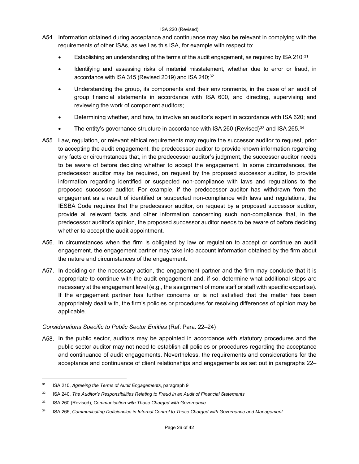- A54. Information obtained during acceptance and continuance may also be relevant in complying with the requirements of other ISAs, as well as this ISA, for example with respect to:
	- Establishing an understanding of the terms of the audit engagement, as required by ISA 210;<sup>[31](#page-25-0)</sup>
	- Identifying and assessing risks of material misstatement, whether due to error or fraud, in accordance with ISA 315 (Revised 2019) and ISA 240;<sup>[32](#page-25-1)</sup>
	- Understanding the group, its components and their environments, in the case of an audit of group financial statements in accordance with ISA 600, and directing, supervising and reviewing the work of component auditors;
	- Determining whether, and how, to involve an auditor's expert in accordance with ISA 620; and
	- The entity's governance structure in accordance with ISA 260 (Revised)<sup>[33](#page-25-2)</sup> and ISA 265.<sup>[34](#page-25-3)</sup>
- A55. Law, regulation, or relevant ethical requirements may require the successor auditor to request, prior to accepting the audit engagement, the predecessor auditor to provide known information regarding any facts or circumstances that, in the predecessor auditor's judgment, the successor auditor needs to be aware of before deciding whether to accept the engagement. In some circumstances, the predecessor auditor may be required, on request by the proposed successor auditor, to provide information regarding identified or suspected non-compliance with laws and regulations to the proposed successor auditor. For example, if the predecessor auditor has withdrawn from the engagement as a result of identified or suspected non-compliance with laws and regulations, the IESBA Code requires that the predecessor auditor, on request by a proposed successor auditor, provide all relevant facts and other information concerning such non-compliance that, in the predecessor auditor's opinion, the proposed successor auditor needs to be aware of before deciding whether to accept the audit appointment.
- A56. In circumstances when the firm is obligated by law or regulation to accept or continue an audit engagement, the engagement partner may take into account information obtained by the firm about the nature and circumstances of the engagement.
- A57. In deciding on the necessary action, the engagement partner and the firm may conclude that it is appropriate to continue with the audit engagement and, if so, determine what additional steps are necessary at the engagement level (e.g., the assignment of more staff or staff with specific expertise). If the engagement partner has further concerns or is not satisfied that the matter has been appropriately dealt with, the firm's policies or procedures for resolving differences of opinion may be applicable.

## *Considerations Specific to Public Sector Entities* (Ref: Para. 22–24)

A58. In the public sector, auditors may be appointed in accordance with statutory procedures and the public sector auditor may not need to establish all policies or procedures regarding the acceptance and continuance of audit engagements. Nevertheless, the requirements and considerations for the acceptance and continuance of client relationships and engagements as set out in paragraphs 22–

<span id="page-25-0"></span><sup>31</sup> ISA 210, *Agreeing the Terms of Audit Engagements*, paragraph 9

<span id="page-25-1"></span><sup>32</sup> ISA 240, *The Auditor's Responsibilities Relating to Fraud in an Audit of Financial Statements*

<span id="page-25-2"></span><sup>33</sup> ISA 260 (Revised), *Communication with Those Charged with Governance*

<span id="page-25-3"></span><sup>34</sup> ISA 265, *Communicating Deficiencies in Internal Control to Those Charged with Governance and Management*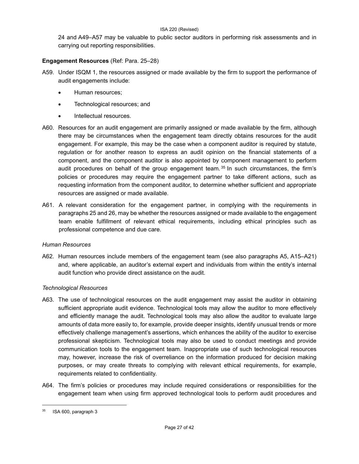24 and A49–A57 may be valuable to public sector auditors in performing risk assessments and in carrying out reporting responsibilities.

## **Engagement Resources** (Ref: Para. 25–28)

- A59. Under ISQM 1, the resources assigned or made available by the firm to support the performance of audit engagements include:
	- Human resources;
	- Technological resources; and
	- Intellectual resources.
- A60. Resources for an audit engagement are primarily assigned or made available by the firm, although there may be circumstances when the engagement team directly obtains resources for the audit engagement. For example, this may be the case when a component auditor is required by statute, regulation or for another reason to express an audit opinion on the financial statements of a component, and the component auditor is also appointed by component management to perform audit procedures on behalf of the group engagement team.  $35$  In such circumstances, the firm's policies or procedures may require the engagement partner to take different actions, such as requesting information from the component auditor, to determine whether sufficient and appropriate resources are assigned or made available.
- A61. A relevant consideration for the engagement partner, in complying with the requirements in paragraphs 25 and 26, may be whether the resources assigned or made available to the engagement team enable fulfillment of relevant ethical requirements, including ethical principles such as professional competence and due care.

## *Human Resources*

A62. Human resources include members of the engagement team (see also paragraphs A5, A15–A21) and, where applicable, an auditor's external expert and individuals from within the entity's internal audit function who provide direct assistance on the audit.

## *Technological Resources*

- A63. The use of technological resources on the audit engagement may assist the auditor in obtaining sufficient appropriate audit evidence. Technological tools may allow the auditor to more effectively and efficiently manage the audit. Technological tools may also allow the auditor to evaluate large amounts of data more easily to, for example, provide deeper insights, identify unusual trends or more effectively challenge management's assertions, which enhances the ability of the auditor to exercise professional skepticism. Technological tools may also be used to conduct meetings and provide communication tools to the engagement team. Inappropriate use of such technological resources may, however, increase the risk of overreliance on the information produced for decision making purposes, or may create threats to complying with relevant ethical requirements, for example, requirements related to confidentiality.
- A64. The firm's policies or procedures may include required considerations or responsibilities for the engagement team when using firm approved technological tools to perform audit procedures and

<span id="page-26-0"></span> $35$  ISA 600, paragraph 3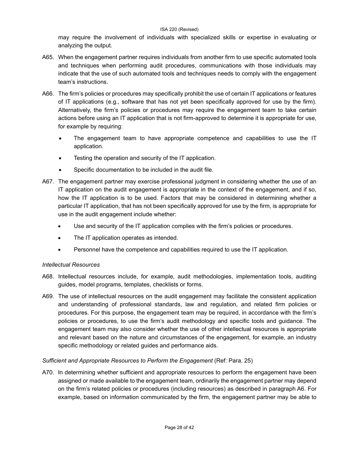may require the involvement of individuals with specialized skills or expertise in evaluating or analyzing the output.

- A65. When the engagement partner requires individuals from another firm to use specific automated tools and techniques when performing audit procedures, communications with those individuals may indicate that the use of such automated tools and techniques needs to comply with the engagement team's instructions.
- A66. The firm's policies or procedures may specifically prohibit the use of certain IT applications or features of IT applications (e.g., software that has not yet been specifically approved for use by the firm). Alternatively, the firm's policies or procedures may require the engagement team to take certain actions before using an IT application that is not firm-approved to determine it is appropriate for use, for example by requiring:
	- The engagement team to have appropriate competence and capabilities to use the IT application.
	- Testing the operation and security of the IT application.
	- Specific documentation to be included in the audit file.
- A67. The engagement partner may exercise professional judgment in considering whether the use of an IT application on the audit engagement is appropriate in the context of the engagement, and if so, how the IT application is to be used. Factors that may be considered in determining whether a particular IT application, that has not been specifically approved for use by the firm, is appropriate for use in the audit engagement include whether:
	- Use and security of the IT application complies with the firm's policies or procedures.
	- The IT application operates as intended.
	- Personnel have the competence and capabilities required to use the IT application.

## *Intellectual Resources*

- A68. Intellectual resources include, for example, audit methodologies, implementation tools, auditing guides, model programs, templates, checklists or forms.
- A69. The use of intellectual resources on the audit engagement may facilitate the consistent application and understanding of professional standards, law and regulation, and related firm policies or procedures. For this purpose, the engagement team may be required, in accordance with the firm's policies or procedures, to use the firm's audit methodology and specific tools and guidance. The engagement team may also consider whether the use of other intellectual resources is appropriate and relevant based on the nature and circumstances of the engagement, for example, an industry specific methodology or related guides and performance aids.

## *Sufficient and Appropriate Resources to Perform the Engagement* (Ref: Para. 25)

A70. In determining whether sufficient and appropriate resources to perform the engagement have been assigned or made available to the engagement team, ordinarily the engagement partner may depend on the firm's related policies or procedures (including resources) as described in paragraph A6. For example, based on information communicated by the firm, the engagement partner may be able to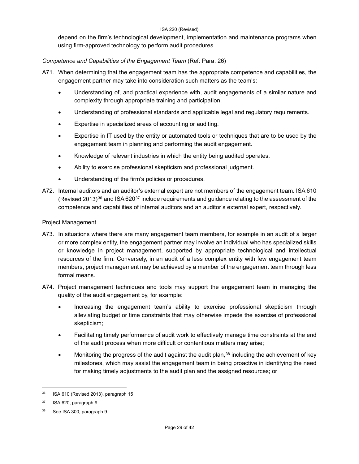depend on the firm's technological development, implementation and maintenance programs when using firm-approved technology to perform audit procedures.

## *Competence and Capabilities of the Engagement Team* (Ref: Para. 26)

- A71. When determining that the engagement team has the appropriate competence and capabilities, the engagement partner may take into consideration such matters as the team's:
	- Understanding of, and practical experience with, audit engagements of a similar nature and complexity through appropriate training and participation.
	- Understanding of professional standards and applicable legal and regulatory requirements.
	- Expertise in specialized areas of accounting or auditing.
	- Expertise in IT used by the entity or automated tools or techniques that are to be used by the engagement team in planning and performing the audit engagement.
	- Knowledge of relevant industries in which the entity being audited operates.
	- Ability to exercise professional skepticism and professional judgment.
	- Understanding of the firm's policies or procedures.
- A72. Internal auditors and an auditor's external expert are not members of the engagement team. ISA 610 (Revised 2013)<sup>[36](#page-28-0)</sup> and ISA 620<sup>[37](#page-28-1)</sup> include requirements and guidance relating to the assessment of the competence and capabilities of internal auditors and an auditor's external expert, respectively.

## Project Management

- A73. In situations where there are many engagement team members, for example in an audit of a larger or more complex entity, the engagement partner may involve an individual who has specialized skills or knowledge in project management, supported by appropriate technological and intellectual resources of the firm. Conversely, in an audit of a less complex entity with few engagement team members, project management may be achieved by a member of the engagement team through less formal means.
- A74. Project management techniques and tools may support the engagement team in managing the quality of the audit engagement by, for example:
	- Increasing the engagement team's ability to exercise professional skepticism through alleviating budget or time constraints that may otherwise impede the exercise of professional skepticism;
	- Facilitating timely performance of audit work to effectively manage time constraints at the end of the audit process when more difficult or contentious matters may arise;
	- Monitoring the progress of the audit against the audit plan, $38$  including the achievement of key milestones, which may assist the engagement team in being proactive in identifying the need for making timely adjustments to the audit plan and the assigned resources; or

<span id="page-28-0"></span> $36$  ISA 610 (Revised 2013), paragraph 15

<span id="page-28-1"></span><sup>37</sup> ISA 620, paragraph 9

<span id="page-28-2"></span><sup>38</sup> See ISA 300, paragraph 9.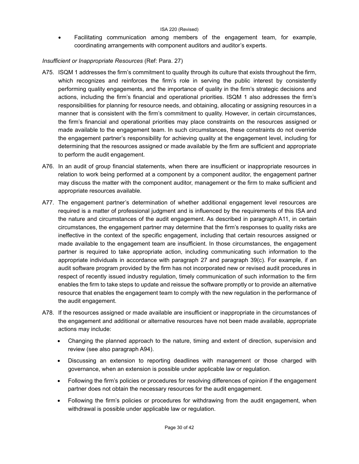• Facilitating communication among members of the engagement team, for example, coordinating arrangements with component auditors and auditor's experts.

## *Insufficient or Inappropriate Resources* (Ref: Para. 27)

- A75. ISQM 1 addresses the firm's commitment to quality through its culture that exists throughout the firm, which recognizes and reinforces the firm's role in serving the public interest by consistently performing quality engagements, and the importance of quality in the firm's strategic decisions and actions, including the firm's financial and operational priorities. ISQM 1 also addresses the firm's responsibilities for planning for resource needs, and obtaining, allocating or assigning resources in a manner that is consistent with the firm's commitment to quality. However, in certain circumstances, the firm's financial and operational priorities may place constraints on the resources assigned or made available to the engagement team. In such circumstances, these constraints do not override the engagement partner's responsibility for achieving quality at the engagement level, including for determining that the resources assigned or made available by the firm are sufficient and appropriate to perform the audit engagement.
- A76. In an audit of group financial statements, when there are insufficient or inappropriate resources in relation to work being performed at a component by a component auditor, the engagement partner may discuss the matter with the component auditor, management or the firm to make sufficient and appropriate resources available.
- A77. The engagement partner's determination of whether additional engagement level resources are required is a matter of professional judgment and is influenced by the requirements of this ISA and the nature and circumstances of the audit engagement. As described in paragraph A11, in certain circumstances, the engagement partner may determine that the firm's responses to quality risks are ineffective in the context of the specific engagement, including that certain resources assigned or made available to the engagement team are insufficient. In those circumstances, the engagement partner is required to take appropriate action, including communicating such information to the appropriate individuals in accordance with paragraph 27 and paragraph 39(c). For example, if an audit software program provided by the firm has not incorporated new or revised audit procedures in respect of recently issued industry regulation, timely communication of such information to the firm enables the firm to take steps to update and reissue the software promptly or to provide an alternative resource that enables the engagement team to comply with the new regulation in the performance of the audit engagement.
- A78. If the resources assigned or made available are insufficient or inappropriate in the circumstances of the engagement and additional or alternative resources have not been made available, appropriate actions may include:
	- Changing the planned approach to the nature, timing and extent of direction, supervision and review (see also paragraph A94).
	- Discussing an extension to reporting deadlines with management or those charged with governance, when an extension is possible under applicable law or regulation.
	- Following the firm's policies or procedures for resolving differences of opinion if the engagement partner does not obtain the necessary resources for the audit engagement.
	- Following the firm's policies or procedures for withdrawing from the audit engagement, when withdrawal is possible under applicable law or regulation.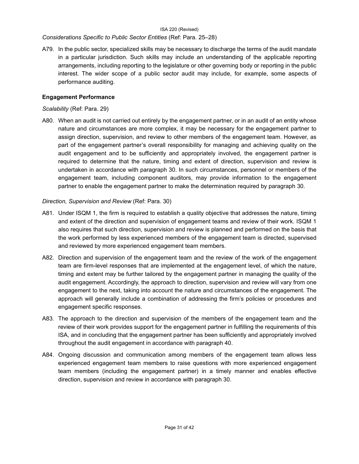## *Considerations Specific to Public Sector Entities* (Ref: Para. 25–28)

A79. In the public sector, specialized skills may be necessary to discharge the terms of the audit mandate in a particular jurisdiction. Such skills may include an understanding of the applicable reporting arrangements, including reporting to the legislature or other governing body or reporting in the public interest. The wider scope of a public sector audit may include, for example, some aspects of performance auditing.

## **Engagement Performance**

## *Scalability* (Ref: Para. 29)

A80. When an audit is not carried out entirely by the engagement partner, or in an audit of an entity whose nature and circumstances are more complex, it may be necessary for the engagement partner to assign direction, supervision, and review to other members of the engagement team. However, as part of the engagement partner's overall responsibility for managing and achieving quality on the audit engagement and to be sufficiently and appropriately involved, the engagement partner is required to determine that the nature, timing and extent of direction, supervision and review is undertaken in accordance with paragraph 30. In such circumstances, personnel or members of the engagement team, including component auditors, may provide information to the engagement partner to enable the engagement partner to make the determination required by paragraph 30.

## *Direction, Supervision and Review* (Ref: Para. 30)

- A81. Under ISQM 1, the firm is required to establish a quality objective that addresses the nature, timing and extent of the direction and supervision of engagement teams and review of their work. ISQM 1 also requires that such direction, supervision and review is planned and performed on the basis that the work performed by less experienced members of the engagement team is directed, supervised and reviewed by more experienced engagement team members.
- A82. Direction and supervision of the engagement team and the review of the work of the engagement team are firm-level responses that are implemented at the engagement level, of which the nature, timing and extent may be further tailored by the engagement partner in managing the quality of the audit engagement. Accordingly, the approach to direction, supervision and review will vary from one engagement to the next, taking into account the nature and circumstances of the engagement. The approach will generally include a combination of addressing the firm's policies or procedures and engagement specific responses.
- A83. The approach to the direction and supervision of the members of the engagement team and the review of their work provides support for the engagement partner in fulfilling the requirements of this ISA, and in concluding that the engagement partner has been sufficiently and appropriately involved throughout the audit engagement in accordance with paragraph 40.
- A84. Ongoing discussion and communication among members of the engagement team allows less experienced engagement team members to raise questions with more experienced engagement team members (including the engagement partner) in a timely manner and enables effective direction, supervision and review in accordance with paragraph 30.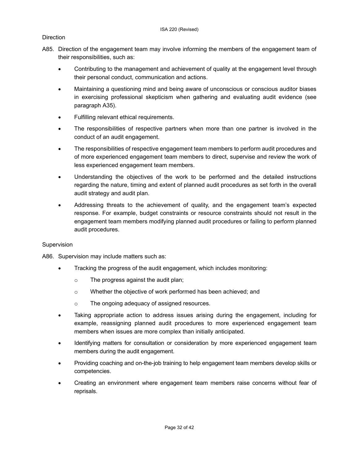## **Direction**

- A85. Direction of the engagement team may involve informing the members of the engagement team of their responsibilities, such as:
	- Contributing to the management and achievement of quality at the engagement level through their personal conduct, communication and actions.
	- Maintaining a questioning mind and being aware of unconscious or conscious auditor biases in exercising professional skepticism when gathering and evaluating audit evidence (see paragraph A35).
	- Fulfilling relevant ethical requirements.
	- The responsibilities of respective partners when more than one partner is involved in the conduct of an audit engagement.
	- The responsibilities of respective engagement team members to perform audit procedures and of more experienced engagement team members to direct, supervise and review the work of less experienced engagement team members.
	- Understanding the objectives of the work to be performed and the detailed instructions regarding the nature, timing and extent of planned audit procedures as set forth in the overall audit strategy and audit plan.
	- Addressing threats to the achievement of quality, and the engagement team's expected response. For example, budget constraints or resource constraints should not result in the engagement team members modifying planned audit procedures or failing to perform planned audit procedures.

## Supervision

- A86. Supervision may include matters such as:
	- Tracking the progress of the audit engagement, which includes monitoring:
		- o The progress against the audit plan;
		- o Whether the objective of work performed has been achieved; and
		- o The ongoing adequacy of assigned resources.
	- Taking appropriate action to address issues arising during the engagement, including for example, reassigning planned audit procedures to more experienced engagement team members when issues are more complex than initially anticipated.
	- Identifying matters for consultation or consideration by more experienced engagement team members during the audit engagement.
	- Providing coaching and on-the-job training to help engagement team members develop skills or competencies.
	- Creating an environment where engagement team members raise concerns without fear of reprisals.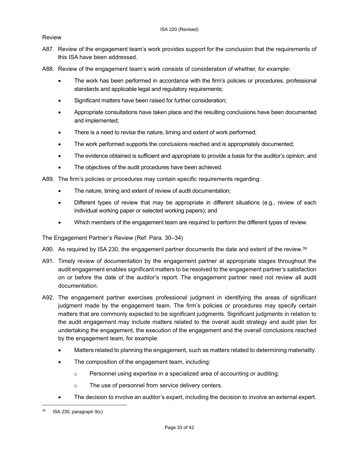## Review

- A87. Review of the engagement team's work provides support for the conclusion that the requirements of this ISA have been addressed.
- A88. Review of the engagement team's work consists of consideration of whether, for example:
	- The work has been performed in accordance with the firm's policies or procedures, professional standards and applicable legal and regulatory requirements;
	- Significant matters have been raised for further consideration;
	- Appropriate consultations have taken place and the resulting conclusions have been documented and implemented;
	- There is a need to revise the nature, timing and extent of work performed;
	- The work performed supports the conclusions reached and is appropriately documented;
	- The evidence obtained is sufficient and appropriate to provide a basis for the auditor's opinion; and
	- The objectives of the audit procedures have been achieved.
- A89. The firm's policies or procedures may contain specific requirements regarding:
	- The nature, timing and extent of review of audit documentation;
	- Different types of review that may be appropriate in different situations (e.g., review of each individual working paper or selected working papers); and
	- Which members of the engagement team are required to perform the different types of review.

The Engagement Partner's Review (Ref: Para. 30–34)

- A90. As required by ISA 230, the engagement partner documents the date and extent of the review.<sup>[39](#page-32-0)</sup>
- A91. Timely review of documentation by the engagement partner at appropriate stages throughout the audit engagement enables significant matters to be resolved to the engagement partner's satisfaction on or before the date of the auditor's report. The engagement partner need not review all audit documentation.
- A92. The engagement partner exercises professional judgment in identifying the areas of significant judgment made by the engagement team. The firm's policies or procedures may specify certain matters that are commonly expected to be significant judgments. Significant judgments in relation to the audit engagement may include matters related to the overall audit strategy and audit plan for undertaking the engagement, the execution of the engagement and the overall conclusions reached by the engagement team, for example:
	- Matters related to planning the engagement, such as matters related to determining materiality.
	- The composition of the engagement team, including:
		- o Personnel using expertise in a specialized area of accounting or auditing;
		- o The use of personnel from service delivery centers.
	- The decision to involve an auditor's expert, including the decision to involve an external expert.

<span id="page-32-0"></span> $39$  ISA 230, paragraph  $9(c)$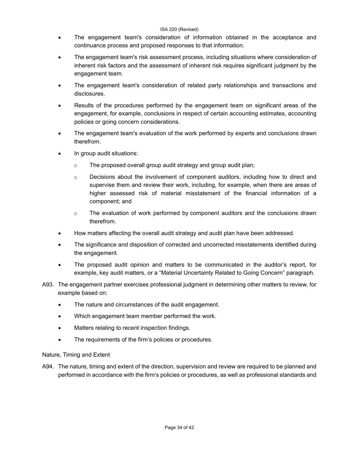- The engagement team's consideration of information obtained in the acceptance and continuance process and proposed responses to that information.
- The engagement team's risk assessment process, including situations where consideration of inherent risk factors and the assessment of inherent risk requires significant judgment by the engagement team.
- The engagement team's consideration of related party relationships and transactions and disclosures.
- Results of the procedures performed by the engagement team on significant areas of the engagement, for example, conclusions in respect of certain accounting estimates, accounting policies or going concern considerations.
- The engagement team's evaluation of the work performed by experts and conclusions drawn therefrom.
- In group audit situations:
	- o The proposed overall group audit strategy and group audit plan;
	- $\circ$  Decisions about the involvement of component auditors, including how to direct and supervise them and review their work, including, for example, when there are areas of higher assessed risk of material misstatement of the financial information of a component; and
	- $\circ$  The evaluation of work performed by component auditors and the conclusions drawn therefrom.
- How matters affecting the overall audit strategy and audit plan have been addressed.
- The significance and disposition of corrected and uncorrected misstatements identified during the engagement.
- The proposed audit opinion and matters to be communicated in the auditor's report, for example, key audit matters, or a "Material Uncertainty Related to Going Concern" paragraph.
- A93. The engagement partner exercises professional judgment in determining other matters to review, for example based on:
	- The nature and circumstances of the audit engagement.
	- Which engagement team member performed the work.
	- Matters relating to recent inspection findings.
	- The requirements of the firm's policies or procedures.

## Nature, Timing and Extent

A94. The nature, timing and extent of the direction, supervision and review are required to be planned and performed in accordance with the firm's policies or procedures, as well as professional standards and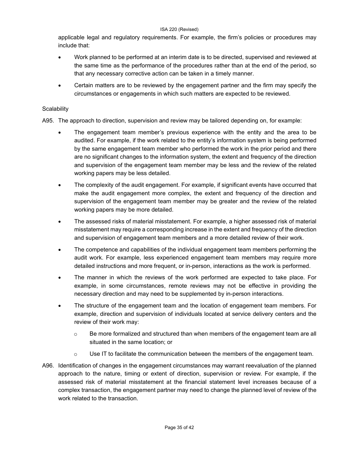applicable legal and regulatory requirements. For example, the firm's policies or procedures may include that:

- Work planned to be performed at an interim date is to be directed, supervised and reviewed at the same time as the performance of the procedures rather than at the end of the period, so that any necessary corrective action can be taken in a timely manner.
- Certain matters are to be reviewed by the engagement partner and the firm may specify the circumstances or engagements in which such matters are expected to be reviewed.

## **Scalability**

A95. The approach to direction, supervision and review may be tailored depending on, for example:

- The engagement team member's previous experience with the entity and the area to be audited. For example, if the work related to the entity's information system is being performed by the same engagement team member who performed the work in the prior period and there are no significant changes to the information system, the extent and frequency of the direction and supervision of the engagement team member may be less and the review of the related working papers may be less detailed.
- The complexity of the audit engagement. For example, if significant events have occurred that make the audit engagement more complex, the extent and frequency of the direction and supervision of the engagement team member may be greater and the review of the related working papers may be more detailed.
- The assessed risks of material misstatement. For example, a higher assessed risk of material misstatement may require a corresponding increase in the extent and frequency of the direction and supervision of engagement team members and a more detailed review of their work.
- The competence and capabilities of the individual engagement team members performing the audit work. For example, less experienced engagement team members may require more detailed instructions and more frequent, or in-person, interactions as the work is performed.
- The manner in which the reviews of the work performed are expected to take place. For example, in some circumstances, remote reviews may not be effective in providing the necessary direction and may need to be supplemented by in-person interactions.
- The structure of the engagement team and the location of engagement team members. For example, direction and supervision of individuals located at service delivery centers and the review of their work may:
	- $\circ$  Be more formalized and structured than when members of the engagement team are all situated in the same location; or
	- $\circ$  Use IT to facilitate the communication between the members of the engagement team.
- A96. Identification of changes in the engagement circumstances may warrant reevaluation of the planned approach to the nature, timing or extent of direction, supervision or review. For example, if the assessed risk of material misstatement at the financial statement level increases because of a complex transaction, the engagement partner may need to change the planned level of review of the work related to the transaction.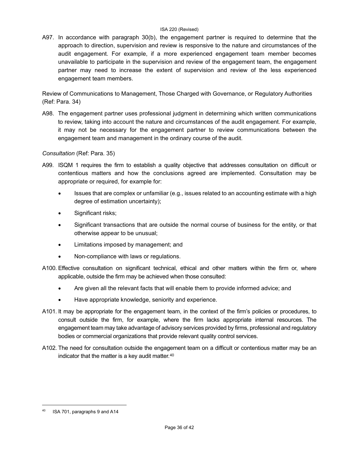A97. In accordance with paragraph 30(b), the engagement partner is required to determine that the approach to direction, supervision and review is responsive to the nature and circumstances of the audit engagement. For example, if a more experienced engagement team member becomes unavailable to participate in the supervision and review of the engagement team, the engagement partner may need to increase the extent of supervision and review of the less experienced engagement team members.

Review of Communications to Management, Those Charged with Governance, or Regulatory Authorities (Ref: Para. 34)

A98. The engagement partner uses professional judgment in determining which written communications to review, taking into account the nature and circumstances of the audit engagement. For example, it may not be necessary for the engagement partner to review communications between the engagement team and management in the ordinary course of the audit.

## *Consultation* (Ref: Para. 35)

- A99. ISQM 1 requires the firm to establish a quality objective that addresses consultation on difficult or contentious matters and how the conclusions agreed are implemented. Consultation may be appropriate or required, for example for:
	- Issues that are complex or unfamiliar (e.g., issues related to an accounting estimate with a high degree of estimation uncertainty);
	- Significant risks;
	- Significant transactions that are outside the normal course of business for the entity, or that otherwise appear to be unusual;
	- Limitations imposed by management; and
	- Non-compliance with laws or regulations.
- A100. Effective consultation on significant technical, ethical and other matters within the firm or, where applicable, outside the firm may be achieved when those consulted:
	- Are given all the relevant facts that will enable them to provide informed advice; and
	- Have appropriate knowledge, seniority and experience.
- A101. It may be appropriate for the engagement team, in the context of the firm's policies or procedures, to consult outside the firm, for example, where the firm lacks appropriate internal resources. The engagement team may take advantage of advisory services provided by firms, professional and regulatory bodies or commercial organizations that provide relevant quality control services.
- A102. The need for consultation outside the engagement team on a difficult or contentious matter may be an indicator that the matter is a key audit matter.<sup>[40](#page-35-0)</sup>

<span id="page-35-0"></span><sup>40</sup> ISA 701, paragraphs 9 and A14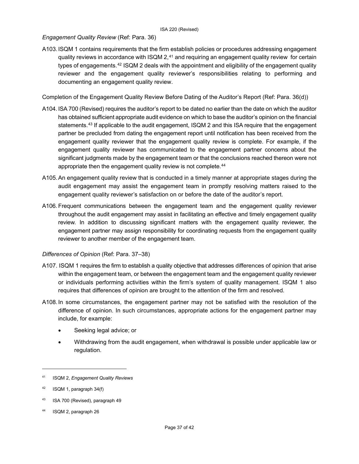## *Engagement Quality Review* (Ref: Para. 36)

A103.ISQM 1 contains requirements that the firm establish policies or procedures addressing engagement quality reviews in accordance with  $ISQM 2<sup>41</sup>$  $ISQM 2<sup>41</sup>$  $ISQM 2<sup>41</sup>$  and requiring an engagement quality review for certain types of engagements.<sup>[42](#page-36-1)</sup> ISQM 2 deals with the appointment and eligibility of the engagement quality reviewer and the engagement quality reviewer's responsibilities relating to performing and documenting an engagement quality review.

Completion of the Engagement Quality Review Before Dating of the Auditor's Report (Ref: Para. 36(d))

- A104. ISA 700 (Revised) requires the auditor's report to be dated no earlier than the date on which the auditor has obtained sufficient appropriate audit evidence on which to base the auditor's opinion on the financial statements.<sup>[43](#page-36-2)</sup> If applicable to the audit engagement, ISQM 2 and this ISA require that the engagement partner be precluded from dating the engagement report until notification has been received from the engagement quality reviewer that the engagement quality review is complete. For example, if the engagement quality reviewer has communicated to the engagement partner concerns about the significant judgments made by the engagement team or that the conclusions reached thereon were not appropriate then the engagement quality review is not complete.<sup>[44](#page-36-3)</sup>
- A105.An engagement quality review that is conducted in a timely manner at appropriate stages during the audit engagement may assist the engagement team in promptly resolving matters raised to the engagement quality reviewer's satisfaction on or before the date of the auditor's report.
- A106. Frequent communications between the engagement team and the engagement quality reviewer throughout the audit engagement may assist in facilitating an effective and timely engagement quality review. In addition to discussing significant matters with the engagement quality reviewer, the engagement partner may assign responsibility for coordinating requests from the engagement quality reviewer to another member of the engagement team.

## *Differences of Opinion* (Ref: Para. 37–38)

- A107. ISQM 1 requires the firm to establish a quality objective that addresses differences of opinion that arise within the engagement team, or between the engagement team and the engagement quality reviewer or individuals performing activities within the firm's system of quality management. ISQM 1 also requires that differences of opinion are brought to the attention of the firm and resolved.
- A108.In some circumstances, the engagement partner may not be satisfied with the resolution of the difference of opinion. In such circumstances, appropriate actions for the engagement partner may include, for example:
	- Seeking legal advice; or
	- Withdrawing from the audit engagement, when withdrawal is possible under applicable law or regulation.

<span id="page-36-0"></span><sup>41</sup> ISQM 2, *Engagement Quality Reviews*

<span id="page-36-1"></span><sup>42</sup> ISQM 1, paragraph 34(f)

<span id="page-36-2"></span><sup>43</sup> ISA 700 (Revised), paragraph 49

<span id="page-36-3"></span><sup>44</sup> ISQM 2, paragraph 26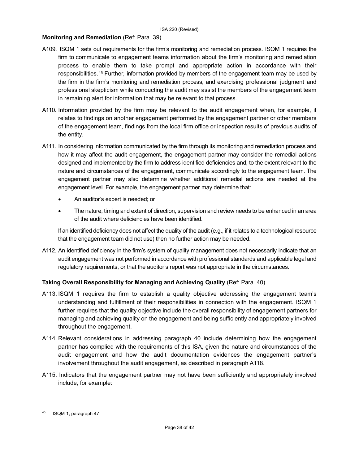## **Monitoring and Remediation** (Ref: Para. 39)

- A109. ISQM 1 sets out requirements for the firm's monitoring and remediation process. ISQM 1 requires the firm to communicate to engagement teams information about the firm's monitoring and remediation process to enable them to take prompt and appropriate action in accordance with their responsibilities.[45](#page-37-0) Further, information provided by members of the engagement team may be used by the firm in the firm's monitoring and remediation process, and exercising professional judgment and professional skepticism while conducting the audit may assist the members of the engagement team in remaining alert for information that may be relevant to that process.
- A110. Information provided by the firm may be relevant to the audit engagement when, for example, it relates to findings on another engagement performed by the engagement partner or other members of the engagement team, findings from the local firm office or inspection results of previous audits of the entity.
- A111. In considering information communicated by the firm through its monitoring and remediation process and how it may affect the audit engagement, the engagement partner may consider the remedial actions designed and implemented by the firm to address identified deficiencies and, to the extent relevant to the nature and circumstances of the engagement, communicate accordingly to the engagement team. The engagement partner may also determine whether additional remedial actions are needed at the engagement level. For example, the engagement partner may determine that:
	- An auditor's expert is needed; or
	- The nature, timing and extent of direction, supervision and review needs to be enhanced in an area of the audit where deficiencies have been identified.

If an identified deficiency does not affect the quality of the audit (e.g., if it relates to a technological resource that the engagement team did not use) then no further action may be needed.

A112. An identified deficiency in the firm's system of quality management does not necessarily indicate that an audit engagement was not performed in accordance with professional standards and applicable legal and regulatory requirements, or that the auditor's report was not appropriate in the circumstances.

## **Taking Overall Responsibility for Managing and Achieving Quality** (Ref: Para. 40)

- A113. ISQM 1 requires the firm to establish a quality objective addressing the engagement team's understanding and fulfillment of their responsibilities in connection with the engagement. ISQM 1 further requires that the quality objective include the overall responsibility of engagement partners for managing and achieving quality on the engagement and being sufficiently and appropriately involved throughout the engagement.
- A114. Relevant considerations in addressing paragraph 40 include determining how the engagement partner has complied with the requirements of this ISA, given the nature and circumstances of the audit engagement and how the audit documentation evidences the engagement partner's involvement throughout the audit engagement, as described in paragraph A118.
- A115. Indicators that the engagement partner may not have been sufficiently and appropriately involved include, for example:

<span id="page-37-0"></span><sup>45</sup> ISQM 1, paragraph 47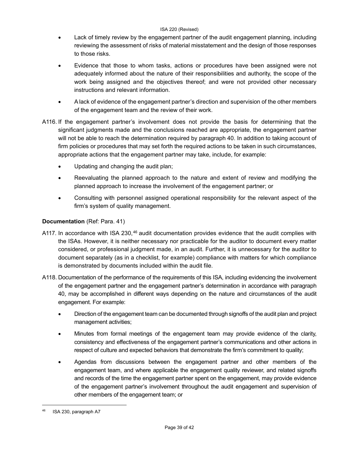- Lack of timely review by the engagement partner of the audit engagement planning, including reviewing the assessment of risks of material misstatement and the design of those responses to those risks.
- Evidence that those to whom tasks, actions or procedures have been assigned were not adequately informed about the nature of their responsibilities and authority, the scope of the work being assigned and the objectives thereof; and were not provided other necessary instructions and relevant information.
- A lack of evidence of the engagement partner's direction and supervision of the other members of the engagement team and the review of their work.
- A116. If the engagement partner's involvement does not provide the basis for determining that the significant judgments made and the conclusions reached are appropriate, the engagement partner will not be able to reach the determination required by paragraph 40. In addition to taking account of firm policies or procedures that may set forth the required actions to be taken in such circumstances, appropriate actions that the engagement partner may take, include, for example:
	- Updating and changing the audit plan;
	- Reevaluating the planned approach to the nature and extent of review and modifying the planned approach to increase the involvement of the engagement partner; or
	- Consulting with personnel assigned operational responsibility for the relevant aspect of the firm's system of quality management.

## **Documentation** (Ref: Para. 41)

- A117. In accordance with ISA 230,<sup>[46](#page-38-0)</sup> audit documentation provides evidence that the audit complies with the ISAs. However, it is neither necessary nor practicable for the auditor to document every matter considered, or professional judgment made, in an audit. Further, it is unnecessary for the auditor to document separately (as in a checklist, for example) compliance with matters for which compliance is demonstrated by documents included within the audit file.
- A118. Documentation of the performance of the requirements of this ISA, including evidencing the involvement of the engagement partner and the engagement partner's determination in accordance with paragraph 40, may be accomplished in different ways depending on the nature and circumstances of the audit engagement. For example:
	- Direction of the engagement team can be documented through signoffs of the audit plan and project management activities;
	- Minutes from formal meetings of the engagement team may provide evidence of the clarity, consistency and effectiveness of the engagement partner's communications and other actions in respect of culture and expected behaviors that demonstrate the firm's commitment to quality;
	- Agendas from discussions between the engagement partner and other members of the engagement team, and where applicable the engagement quality reviewer, and related signoffs and records of the time the engagement partner spent on the engagement, may provide evidence of the engagement partner's involvement throughout the audit engagement and supervision of other members of the engagement team; or

<span id="page-38-0"></span><sup>46</sup> ISA 230, paragraph A7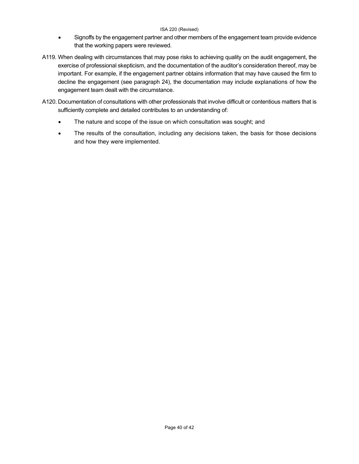- Signoffs by the engagement partner and other members of the engagement team provide evidence that the working papers were reviewed.
- A119. When dealing with circumstances that may pose risks to achieving quality on the audit engagement, the exercise of professional skepticism, and the documentation of the auditor's consideration thereof, may be important. For example, if the engagement partner obtains information that may have caused the firm to decline the engagement (see paragraph 24), the documentation may include explanations of how the engagement team dealt with the circumstance.
- A120. Documentation of consultations with other professionals that involve difficult or contentious matters that is sufficiently complete and detailed contributes to an understanding of:
	- The nature and scope of the issue on which consultation was sought; and
	- The results of the consultation, including any decisions taken, the basis for those decisions and how they were implemented.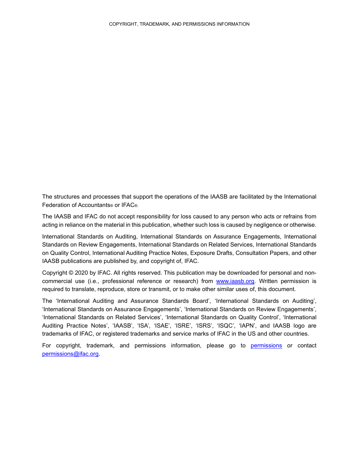<span id="page-40-0"></span>The structures and processes that support the operations of the IAASB are facilitated by the International Federation of Accountants® or IFAC®.

The IAASB and IFAC do not accept responsibility for loss caused to any person who acts or refrains from acting in reliance on the material in this publication, whether such loss is caused by negligence or otherwise.

International Standards on Auditing, International Standards on Assurance Engagements, International Standards on Review Engagements, International Standards on Related Services, International Standards on Quality Control, International Auditing Practice Notes, Exposure Drafts, Consultation Papers, and other IAASB publications are published by, and copyright of, IFAC.

Copyright © 2020 by IFAC. All rights reserved. This publication may be downloaded for personal and noncommercial use (i.e., professional reference or research) from [www.iaasb.org.](http://www.iaasb.org/) Written permission is required to translate, reproduce, store or transmit, or to make other similar uses of, this document.

The 'International Auditing and Assurance Standards Board', 'International Standards on Auditing', 'International Standards on Assurance Engagements', 'International Standards on Review Engagements', 'International Standards on Related Services', 'International Standards on Quality Control', 'International Auditing Practice Notes', 'IAASB', 'ISA', 'ISAE', 'ISRE', 'ISRS', 'ISQC', 'IAPN', and IAASB logo are trademarks of IFAC, or registered trademarks and service marks of IFAC in the US and other countries.

For copyright, trademark, and permissions information, please go to [permissions](http://www.ifac.org/about-ifac/translations-permissions) or contact [permissions@ifac.org.](mailto:permissions@ifac.org)